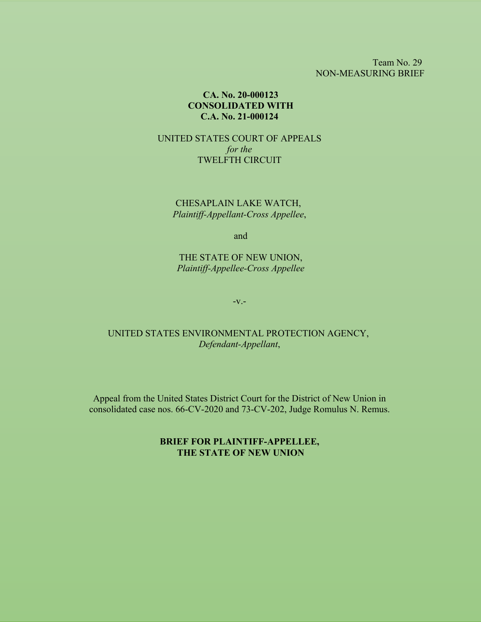Team No. 29 NON-MEASURING BRIEF

### **CA. No. 20-000123 CONSOLIDATED WITH C.A. No. 21-000124**

UNITED STATES COURT OF APPEALS *for the* TWELFTH CIRCUIT

CHESAPLAIN LAKE WATCH, *Plaintiff-Appellant-Cross Appellee*,

and

THE STATE OF NEW UNION, *Plaintiff-Appellee-Cross Appellee*

-v.-

UNITED STATES ENVIRONMENTAL PROTECTION AGENCY, *Defendant-Appellant*,

Appeal from the United States District Court for the District of New Union in consolidated case nos. 66-CV-2020 and 73-CV-202, Judge Romulus N. Remus.

> **BRIEF FOR PLAINTIFF-APPELLEE, THE STATE OF NEW UNION**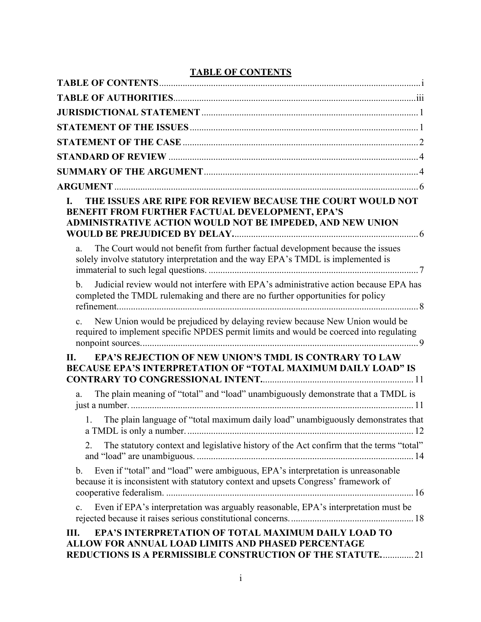## **TABLE OF CONTENTS**

| THE ISSUES ARE RIPE FOR REVIEW BECAUSE THE COURT WOULD NOT<br>L.<br>BENEFIT FROM FURTHER FACTUAL DEVELOPMENT, EPA'S<br>ADMINISTRATIVE ACTION WOULD NOT BE IMPEDED, AND NEW UNION            |
|---------------------------------------------------------------------------------------------------------------------------------------------------------------------------------------------|
| The Court would not benefit from further factual development because the issues<br>a.<br>solely involve statutory interpretation and the way EPA's TMDL is implemented is                   |
| Judicial review would not interfere with EPA's administrative action because EPA has<br>$\mathbf{b}$ .<br>completed the TMDL rulemaking and there are no further opportunities for policy   |
| New Union would be prejudiced by delaying review because New Union would be<br>$\mathbf{c}$ .<br>required to implement specific NPDES permit limits and would be coerced into regulating    |
| EPA'S REJECTION OF NEW UNION'S TMDL IS CONTRARY TO LAW<br>П.<br><b>BECAUSE EPA'S INTERPRETATION OF "TOTAL MAXIMUM DAILY LOAD" IS</b>                                                        |
| The plain meaning of "total" and "load" unambiguously demonstrate that a TMDL is<br>a.                                                                                                      |
| 1. The plain language of "total maximum daily load" unambiguously demonstrates that                                                                                                         |
| The statutory context and legislative history of the Act confirm that the terms "total"<br>2.                                                                                               |
| Even if "total" and "load" were ambiguous, EPA's interpretation is unreasonable<br>$\mathbf b$ .<br>because it is inconsistent with statutory context and upsets Congress' framework of     |
| Even if EPA's interpretation was arguably reasonable, EPA's interpretation must be<br>c.                                                                                                    |
| <b>EPA'S INTERPRETATION OF TOTAL MAXIMUM DAILY LOAD TO</b><br>Ш.<br>ALLOW FOR ANNUAL LOAD LIMITS AND PHASED PERCENTAGE<br><b>REDUCTIONS IS A PERMISSIBLE CONSTRUCTION OF THE STATUTE 21</b> |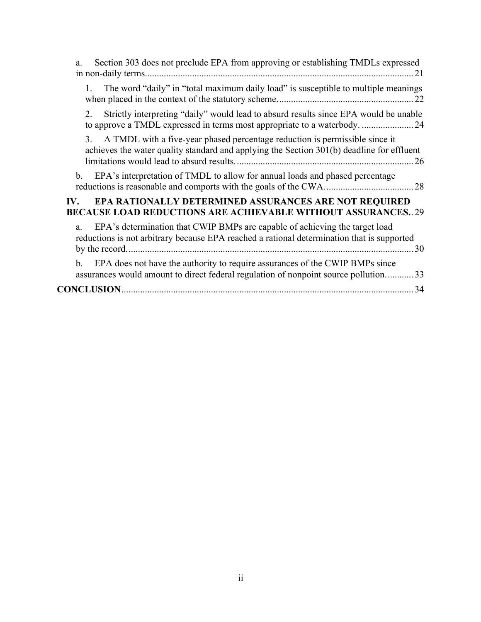| Section 303 does not preclude EPA from approving or establishing TMDLs expressed<br>a.                                                                                          |
|---------------------------------------------------------------------------------------------------------------------------------------------------------------------------------|
| The word "daily" in "total maximum daily load" is susceptible to multiple meanings<br>1.                                                                                        |
| Strictly interpreting "daily" would lead to absurd results since EPA would be unable<br>2.<br>to approve a TMDL expressed in terms most appropriate to a waterbody.  24         |
| A TMDL with a five-year phased percentage reduction is permissible since it<br>3.<br>achieves the water quality standard and applying the Section 301(b) deadline for effluent  |
| EPA's interpretation of TMDL to allow for annual loads and phased percentage<br>b.                                                                                              |
| <b>EPA RATIONALLY DETERMINED ASSURANCES ARE NOT REQUIRED</b><br>$\mathbf{IV}_{\cdot}$<br><b>BECAUSE LOAD REDUCTIONS ARE ACHIEVABLE WITHOUT ASSURANCES29</b>                     |
| EPA's determination that CWIP BMPs are capable of achieving the target load<br>a.<br>reductions is not arbitrary because EPA reached a rational determination that is supported |
| EPA does not have the authority to require assurances of the CWIP BMPs since<br>b.<br>assurances would amount to direct federal regulation of nonpoint source pollution33       |
| <b>CONCLUSION.</b>                                                                                                                                                              |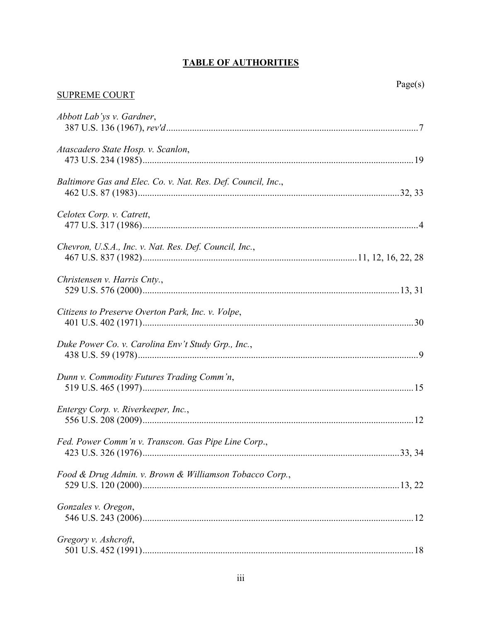## **TABLE OF AUTHORITIES**

# $Page(s)$

## **SUPREME COURT**

| Abbott Lab'ys v. Gardner,                                    |
|--------------------------------------------------------------|
| Atascadero State Hosp. v. Scanlon,                           |
| Baltimore Gas and Elec. Co. v. Nat. Res. Def. Council, Inc., |
|                                                              |
| Celotex Corp. v. Catrett,                                    |
| Chevron, U.S.A., Inc. v. Nat. Res. Def. Council, Inc.,       |
| Christensen v. Harris Cnty.,                                 |
| Citizens to Preserve Overton Park, Inc. v. Volpe,            |
| Duke Power Co. v. Carolina Env't Study Grp., Inc.,           |
| Dunn v. Commodity Futures Trading Comm'n,                    |
| Entergy Corp. v. Riverkeeper, Inc.,                          |
| Fed. Power Comm'n v. Transcon. Gas Pipe Line Corp.,          |
| Food & Drug Admin. v. Brown & Williamson Tobacco Corp.,      |
| Gonzales v. Oregon,                                          |
| Gregory v. Ashcroft,                                         |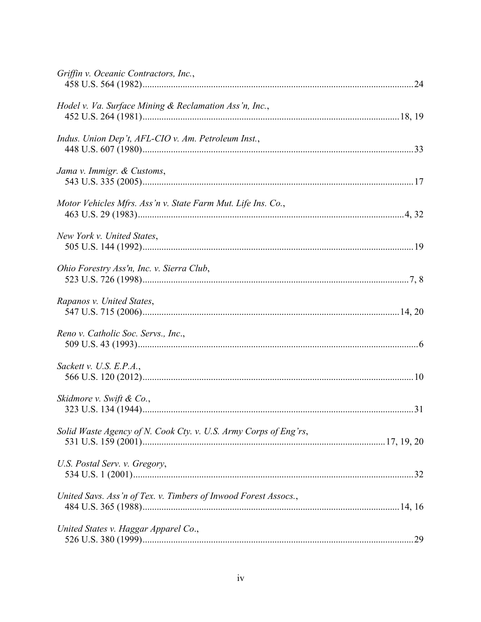| Griffin v. Oceanic Contractors, Inc.,                            |  |
|------------------------------------------------------------------|--|
| Hodel v. Va. Surface Mining & Reclamation Ass'n, Inc.,           |  |
| Indus. Union Dep't, AFL-CIO v. Am. Petroleum Inst.,              |  |
| Jama v. Immigr. & Customs,                                       |  |
| Motor Vehicles Mfrs. Ass'n v. State Farm Mut. Life Ins. Co.,     |  |
| New York v. United States,                                       |  |
| Ohio Forestry Ass'n, Inc. v. Sierra Club,                        |  |
| Rapanos v. United States,                                        |  |
| Reno v. Catholic Soc. Servs., Inc.,                              |  |
| Sackett v. U.S. E.P.A.,                                          |  |
| Skidmore v. Swift & Co.,                                         |  |
| Solid Waste Agency of N. Cook Cty. v. U.S. Army Corps of Eng'rs, |  |
| U.S. Postal Serv. v. Gregory,                                    |  |
| United Savs. Ass'n of Tex. v. Timbers of Inwood Forest Assocs.,  |  |
| United States v. Haggar Apparel Co.,                             |  |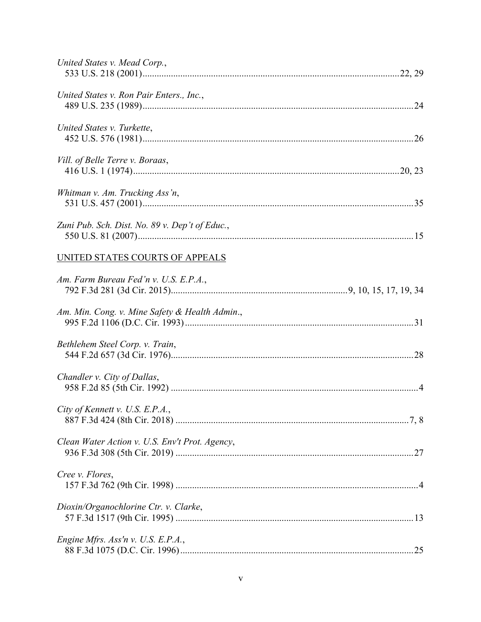| United States v. Mead Corp.,                   |  |
|------------------------------------------------|--|
| United States v. Ron Pair Enters., Inc.,       |  |
| United States v. Turkette,                     |  |
| Vill. of Belle Terre v. Boraas,                |  |
| Whitman v. Am. Trucking Ass'n,                 |  |
| Zuni Pub. Sch. Dist. No. 89 v. Dep't of Educ., |  |
| UNITED STATES COURTS OF APPEALS                |  |
| Am. Farm Bureau Fed'n v. U.S. E.P.A.,          |  |
| Am. Min. Cong. v. Mine Safety & Health Admin., |  |
| Bethlehem Steel Corp. v. Train,                |  |
| Chandler v. City of Dallas,                    |  |
| City of Kennett v. U.S. E.P.A.,                |  |
| Clean Water Action v. U.S. Env't Prot. Agency, |  |
| Cree v. Flores,                                |  |
| Dioxin/Organochlorine Ctr. v. Clarke,          |  |
| Engine Mfrs. Ass'n v. U.S. E.P.A.,             |  |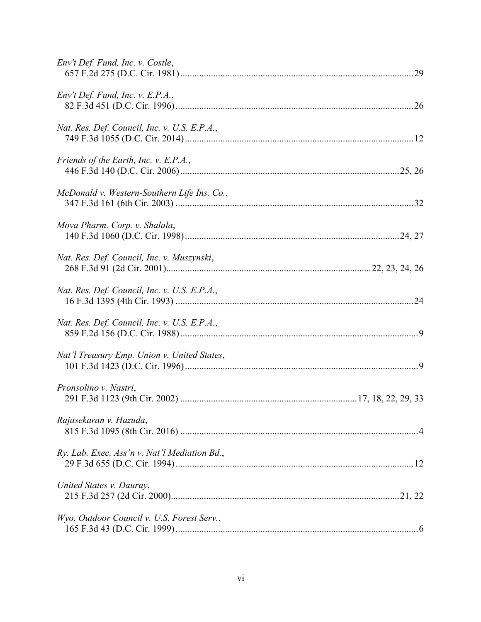| Env't Def. Fund, Inc. v. Costle,             |
|----------------------------------------------|
| Env't Def. Fund, Inc. v. E.P.A.,             |
| Nat. Res. Def. Council, Inc. v. U.S. E.P.A., |
| Friends of the Earth, Inc. v. E.P.A.,        |
| McDonald v. Western-Southern Life Ins. Co.,  |
| Mova Pharm. Corp. v. Shalala,                |
| Nat. Res. Def. Council, Inc. v. Muszynski,   |
| Nat. Res. Def. Council, Inc. v. U.S. E.P.A., |
| Nat. Res. Def. Council, Inc. v. U.S. E.P.A., |
| Nat'l Treasury Emp. Union v. United States,  |
| Pronsolino v. Nastri,                        |
| Rajasekaran v. Hazuda,                       |
| Ry. Lab. Exec. Ass'n v. Nat'l Mediation Bd., |
| United States v. Dauray,                     |
| Wyo. Outdoor Council v. U.S. Forest Serv.,   |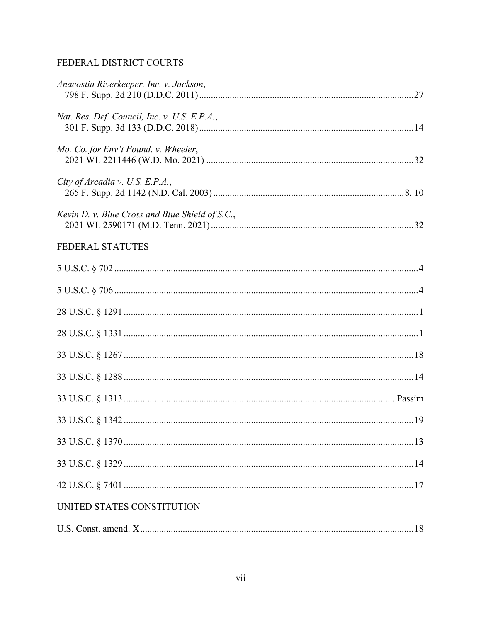## FEDERAL DISTRICT COURTS

| Anacostia Riverkeeper, Inc. v. Jackson,         |  |
|-------------------------------------------------|--|
| Nat. Res. Def. Council, Inc. v. U.S. E.P.A.,    |  |
| Mo. Co. for Env't Found. v. Wheeler,            |  |
| City of Arcadia v. U.S. E.P.A.,                 |  |
| Kevin D. v. Blue Cross and Blue Shield of S.C., |  |
| FEDERAL STATUTES                                |  |
|                                                 |  |
|                                                 |  |
|                                                 |  |
|                                                 |  |
|                                                 |  |
|                                                 |  |
|                                                 |  |
|                                                 |  |
|                                                 |  |
|                                                 |  |
|                                                 |  |
| UNITED STATES CONSTITUTION                      |  |
|                                                 |  |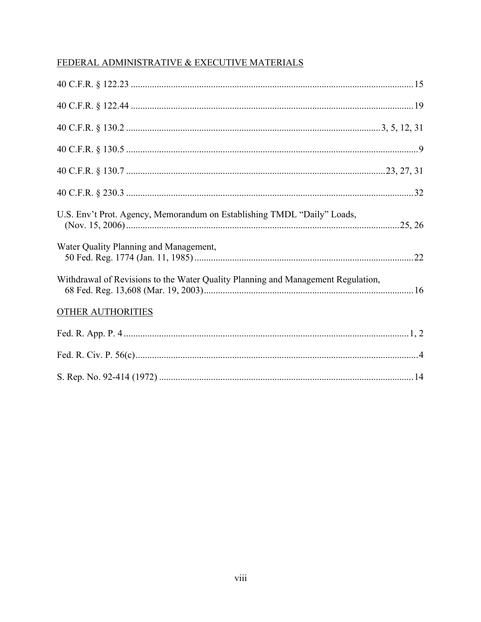## FEDERAL ADMINISTRATIVE & EXECUTIVE MATERIALS

| U.S. Env't Prot. Agency, Memorandum on Establishing TMDL "Daily" Loads,          |
|----------------------------------------------------------------------------------|
| Water Quality Planning and Management,                                           |
| Withdrawal of Revisions to the Water Quality Planning and Management Regulation, |
| <b>OTHER AUTHORITIES</b>                                                         |
|                                                                                  |
|                                                                                  |
|                                                                                  |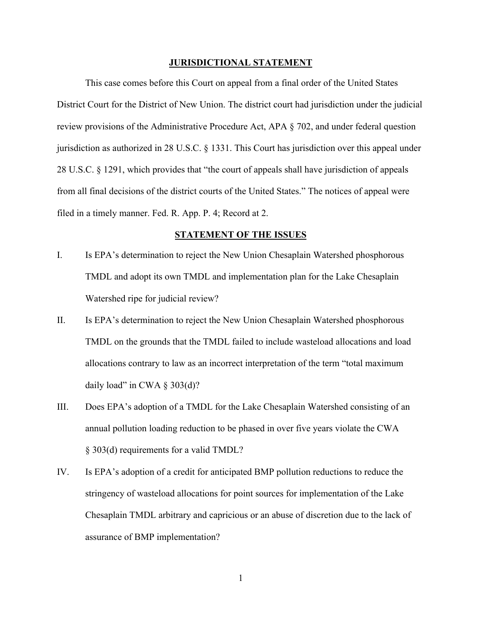#### **JURISDICTIONAL STATEMENT**

This case comes before this Court on appeal from a final order of the United States District Court for the District of New Union. The district court had jurisdiction under the judicial review provisions of the Administrative Procedure Act, APA § 702, and under federal question jurisdiction as authorized in 28 U.S.C. § 1331. This Court has jurisdiction over this appeal under 28 U.S.C. § 1291, which provides that "the court of appeals shall have jurisdiction of appeals from all final decisions of the district courts of the United States." The notices of appeal were filed in a timely manner. Fed. R. App. P. 4; Record at 2.

#### **STATEMENT OF THE ISSUES**

- I. Is EPA's determination to reject the New Union Chesaplain Watershed phosphorous TMDL and adopt its own TMDL and implementation plan for the Lake Chesaplain Watershed ripe for judicial review?
- II. Is EPA's determination to reject the New Union Chesaplain Watershed phosphorous TMDL on the grounds that the TMDL failed to include wasteload allocations and load allocations contrary to law as an incorrect interpretation of the term "total maximum daily load" in CWA  $\S$  303(d)?
- III. Does EPA's adoption of a TMDL for the Lake Chesaplain Watershed consisting of an annual pollution loading reduction to be phased in over five years violate the CWA § 303(d) requirements for a valid TMDL?
- IV. Is EPA's adoption of a credit for anticipated BMP pollution reductions to reduce the stringency of wasteload allocations for point sources for implementation of the Lake Chesaplain TMDL arbitrary and capricious or an abuse of discretion due to the lack of assurance of BMP implementation?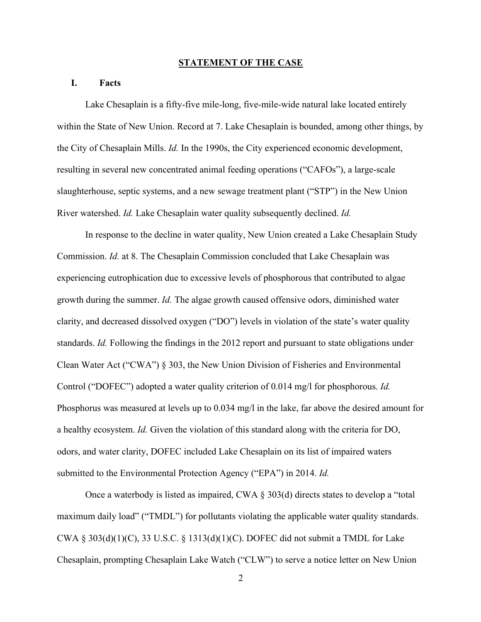#### **STATEMENT OF THE CASE**

#### **I. Facts**

Lake Chesaplain is a fifty-five mile-long, five-mile-wide natural lake located entirely within the State of New Union. Record at 7. Lake Chesaplain is bounded, among other things, by the City of Chesaplain Mills. *Id.* In the 1990s, the City experienced economic development, resulting in several new concentrated animal feeding operations ("CAFOs"), a large-scale slaughterhouse, septic systems, and a new sewage treatment plant ("STP") in the New Union River watershed. *Id.* Lake Chesaplain water quality subsequently declined. *Id.* 

In response to the decline in water quality, New Union created a Lake Chesaplain Study Commission. *Id.* at 8. The Chesaplain Commission concluded that Lake Chesaplain was experiencing eutrophication due to excessive levels of phosphorous that contributed to algae growth during the summer. *Id.* The algae growth caused offensive odors, diminished water clarity, and decreased dissolved oxygen ("DO") levels in violation of the state's water quality standards. *Id.* Following the findings in the 2012 report and pursuant to state obligations under Clean Water Act ("CWA") § 303, the New Union Division of Fisheries and Environmental Control ("DOFEC") adopted a water quality criterion of 0.014 mg/l for phosphorous. *Id.*  Phosphorus was measured at levels up to 0.034 mg/l in the lake, far above the desired amount for a healthy ecosystem. *Id.* Given the violation of this standard along with the criteria for DO, odors, and water clarity, DOFEC included Lake Chesaplain on its list of impaired waters submitted to the Environmental Protection Agency ("EPA") in 2014. *Id.* 

Once a waterbody is listed as impaired, CWA § 303(d) directs states to develop a "total maximum daily load" ("TMDL") for pollutants violating the applicable water quality standards. CWA § 303(d)(1)(C), 33 U.S.C. § 1313(d)(1)(C). DOFEC did not submit a TMDL for Lake Chesaplain, prompting Chesaplain Lake Watch ("CLW") to serve a notice letter on New Union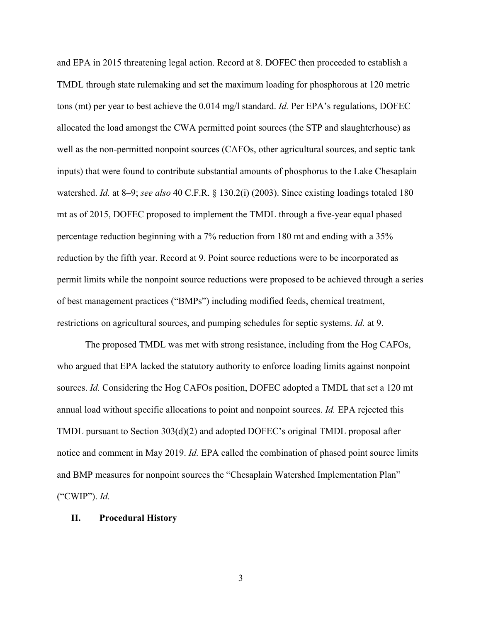and EPA in 2015 threatening legal action. Record at 8. DOFEC then proceeded to establish a TMDL through state rulemaking and set the maximum loading for phosphorous at 120 metric tons (mt) per year to best achieve the 0.014 mg/l standard. *Id.* Per EPA's regulations, DOFEC allocated the load amongst the CWA permitted point sources (the STP and slaughterhouse) as well as the non-permitted nonpoint sources (CAFOs, other agricultural sources, and septic tank inputs) that were found to contribute substantial amounts of phosphorus to the Lake Chesaplain watershed. *Id.* at 8–9; *see also* 40 C.F.R. § 130.2(i) (2003). Since existing loadings totaled 180 mt as of 2015, DOFEC proposed to implement the TMDL through a five-year equal phased percentage reduction beginning with a 7% reduction from 180 mt and ending with a 35% reduction by the fifth year. Record at 9. Point source reductions were to be incorporated as permit limits while the nonpoint source reductions were proposed to be achieved through a series of best management practices ("BMPs") including modified feeds, chemical treatment, restrictions on agricultural sources, and pumping schedules for septic systems. *Id.* at 9.

The proposed TMDL was met with strong resistance, including from the Hog CAFOs, who argued that EPA lacked the statutory authority to enforce loading limits against nonpoint sources. *Id.* Considering the Hog CAFOs position, DOFEC adopted a TMDL that set a 120 mt annual load without specific allocations to point and nonpoint sources. *Id.* EPA rejected this TMDL pursuant to Section 303(d)(2) and adopted DOFEC's original TMDL proposal after notice and comment in May 2019. *Id.* EPA called the combination of phased point source limits and BMP measures for nonpoint sources the "Chesaplain Watershed Implementation Plan" ("CWIP"). *Id.*

#### **II. Procedural History**

3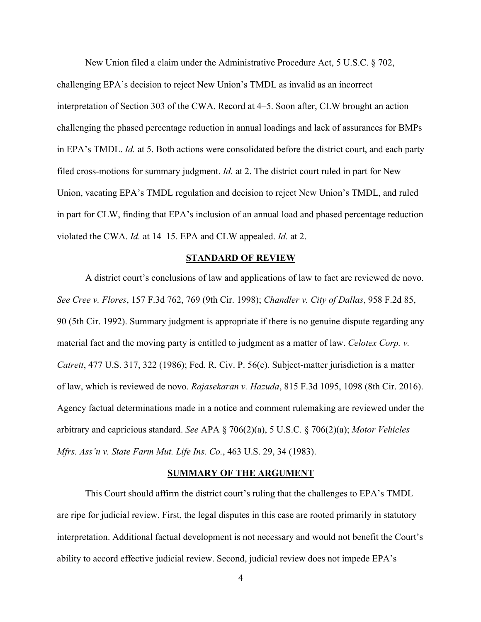New Union filed a claim under the Administrative Procedure Act, 5 U.S.C. § 702,

challenging EPA's decision to reject New Union's TMDL as invalid as an incorrect interpretation of Section 303 of the CWA. Record at 4–5. Soon after, CLW brought an action challenging the phased percentage reduction in annual loadings and lack of assurances for BMPs in EPA's TMDL. *Id.* at 5. Both actions were consolidated before the district court, and each party filed cross-motions for summary judgment. *Id.* at 2. The district court ruled in part for New Union, vacating EPA's TMDL regulation and decision to reject New Union's TMDL, and ruled in part for CLW, finding that EPA's inclusion of an annual load and phased percentage reduction violated the CWA. *Id.* at 14–15. EPA and CLW appealed. *Id.* at 2.

#### **STANDARD OF REVIEW**

A district court's conclusions of law and applications of law to fact are reviewed de novo. *See Cree v. Flores*, 157 F.3d 762, 769 (9th Cir. 1998); *Chandler v. City of Dallas*, 958 F.2d 85, 90 (5th Cir. 1992). Summary judgment is appropriate if there is no genuine dispute regarding any material fact and the moving party is entitled to judgment as a matter of law. *Celotex Corp. v. Catrett*, 477 U.S. 317, 322 (1986); Fed. R. Civ. P. 56(c). Subject-matter jurisdiction is a matter of law, which is reviewed de novo. *Rajasekaran v. Hazuda*, 815 F.3d 1095, 1098 (8th Cir. 2016). Agency factual determinations made in a notice and comment rulemaking are reviewed under the arbitrary and capricious standard. *See* APA § 706(2)(a), 5 U.S.C. § 706(2)(a); *Motor Vehicles Mfrs. Ass'n v. State Farm Mut. Life Ins. Co.*, 463 U.S. 29, 34 (1983).

#### **SUMMARY OF THE ARGUMENT**

This Court should affirm the district court's ruling that the challenges to EPA's TMDL are ripe for judicial review. First, the legal disputes in this case are rooted primarily in statutory interpretation. Additional factual development is not necessary and would not benefit the Court's ability to accord effective judicial review. Second, judicial review does not impede EPA's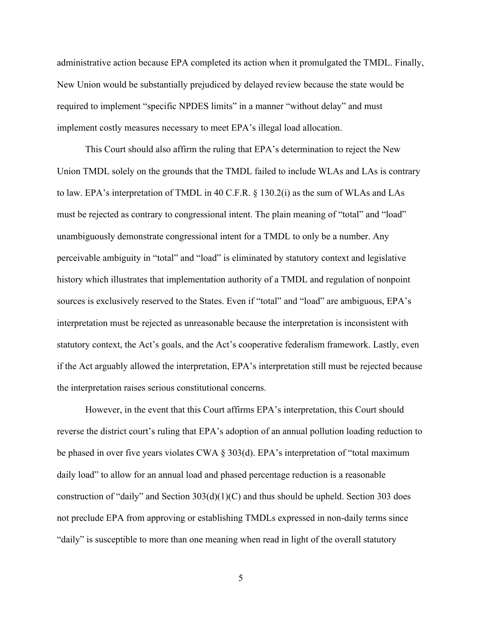administrative action because EPA completed its action when it promulgated the TMDL. Finally, New Union would be substantially prejudiced by delayed review because the state would be required to implement "specific NPDES limits" in a manner "without delay" and must implement costly measures necessary to meet EPA's illegal load allocation.

This Court should also affirm the ruling that EPA's determination to reject the New Union TMDL solely on the grounds that the TMDL failed to include WLAs and LAs is contrary to law. EPA's interpretation of TMDL in 40 C.F.R. § 130.2(i) as the sum of WLAs and LAs must be rejected as contrary to congressional intent. The plain meaning of "total" and "load" unambiguously demonstrate congressional intent for a TMDL to only be a number. Any perceivable ambiguity in "total" and "load" is eliminated by statutory context and legislative history which illustrates that implementation authority of a TMDL and regulation of nonpoint sources is exclusively reserved to the States. Even if "total" and "load" are ambiguous, EPA's interpretation must be rejected as unreasonable because the interpretation is inconsistent with statutory context, the Act's goals, and the Act's cooperative federalism framework. Lastly, even if the Act arguably allowed the interpretation, EPA's interpretation still must be rejected because the interpretation raises serious constitutional concerns.

However, in the event that this Court affirms EPA's interpretation, this Court should reverse the district court's ruling that EPA's adoption of an annual pollution loading reduction to be phased in over five years violates CWA § 303(d). EPA's interpretation of "total maximum daily load" to allow for an annual load and phased percentage reduction is a reasonable construction of "daily" and Section  $303(d)(1)(C)$  and thus should be upheld. Section 303 does not preclude EPA from approving or establishing TMDLs expressed in non-daily terms since "daily" is susceptible to more than one meaning when read in light of the overall statutory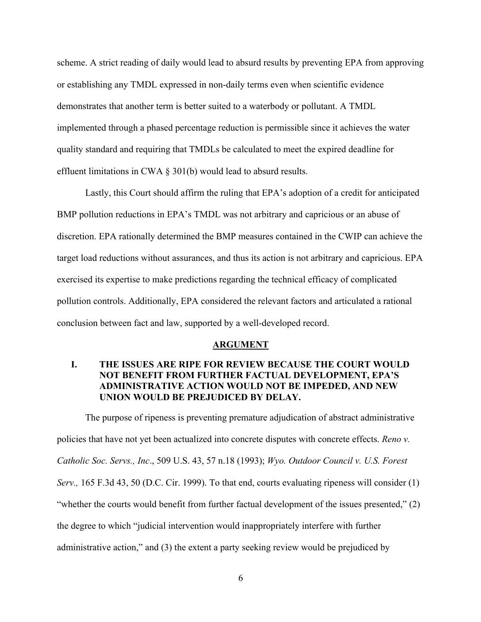scheme. A strict reading of daily would lead to absurd results by preventing EPA from approving or establishing any TMDL expressed in non-daily terms even when scientific evidence demonstrates that another term is better suited to a waterbody or pollutant. A TMDL implemented through a phased percentage reduction is permissible since it achieves the water quality standard and requiring that TMDLs be calculated to meet the expired deadline for effluent limitations in CWA § 301(b) would lead to absurd results.

Lastly, this Court should affirm the ruling that EPA's adoption of a credit for anticipated BMP pollution reductions in EPA's TMDL was not arbitrary and capricious or an abuse of discretion. EPA rationally determined the BMP measures contained in the CWIP can achieve the target load reductions without assurances, and thus its action is not arbitrary and capricious. EPA exercised its expertise to make predictions regarding the technical efficacy of complicated pollution controls. Additionally, EPA considered the relevant factors and articulated a rational conclusion between fact and law, supported by a well-developed record.

#### **ARGUMENT**

## **I. THE ISSUES ARE RIPE FOR REVIEW BECAUSE THE COURT WOULD NOT BENEFIT FROM FURTHER FACTUAL DEVELOPMENT, EPA'S ADMINISTRATIVE ACTION WOULD NOT BE IMPEDED, AND NEW UNION WOULD BE PREJUDICED BY DELAY.**

The purpose of ripeness is preventing premature adjudication of abstract administrative policies that have not yet been actualized into concrete disputes with concrete effects. *Reno v. Catholic Soc. Servs., Inc*., 509 U.S. 43, 57 n.18 (1993); *Wyo. Outdoor Council v. U.S. Forest Serv.,* 165 F.3d 43, 50 (D.C. Cir. 1999). To that end, courts evaluating ripeness will consider (1) "whether the courts would benefit from further factual development of the issues presented," (2) the degree to which "judicial intervention would inappropriately interfere with further administrative action," and (3) the extent a party seeking review would be prejudiced by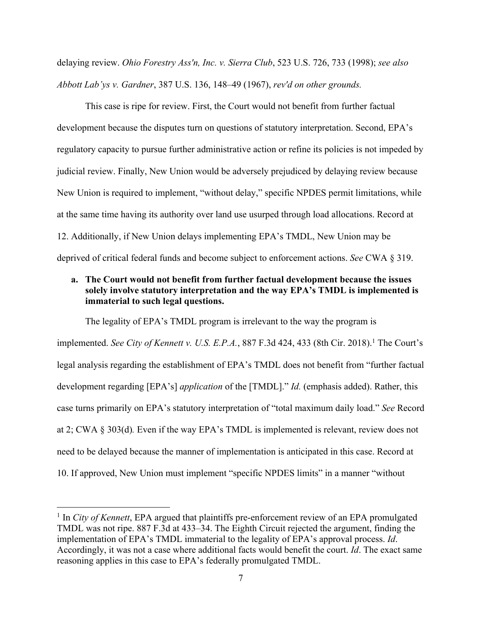delaying review. *Ohio Forestry Ass'n, Inc. v. Sierra Club*, 523 U.S. 726, 733 (1998); *see also Abbott Lab'ys v. Gardner*, 387 U.S. 136, 148–49 (1967), *rev'd on other grounds.*

This case is ripe for review. First, the Court would not benefit from further factual development because the disputes turn on questions of statutory interpretation. Second, EPA's regulatory capacity to pursue further administrative action or refine its policies is not impeded by judicial review. Finally, New Union would be adversely prejudiced by delaying review because New Union is required to implement, "without delay," specific NPDES permit limitations, while at the same time having its authority over land use usurped through load allocations. Record at 12. Additionally, if New Union delays implementing EPA's TMDL, New Union may be deprived of critical federal funds and become subject to enforcement actions. *See* CWA § 319.

### **a. The Court would not benefit from further factual development because the issues solely involve statutory interpretation and the way EPA's TMDL is implemented is immaterial to such legal questions.**

The legality of EPA's TMDL program is irrelevant to the way the program is implemented. *See City of Kennett v. U.S. E.P.A.*, 887 F.3d 424, 433 (8th Cir. 2018).<sup>1</sup> The Court's legal analysis regarding the establishment of EPA's TMDL does not benefit from "further factual development regarding [EPA's] *application* of the [TMDL]." *Id.* (emphasis added). Rather, this case turns primarily on EPA's statutory interpretation of "total maximum daily load." *See* Record at 2; CWA § 303(d)*.* Even if the way EPA's TMDL is implemented is relevant, review does not need to be delayed because the manner of implementation is anticipated in this case. Record at 10. If approved, New Union must implement "specific NPDES limits" in a manner "without

<sup>&</sup>lt;sup>1</sup> In *City of Kennett*, EPA argued that plaintiffs pre-enforcement review of an EPA promulgated TMDL was not ripe. 887 F.3d at 433–34. The Eighth Circuit rejected the argument, finding the implementation of EPA's TMDL immaterial to the legality of EPA's approval process. *Id*. Accordingly, it was not a case where additional facts would benefit the court. *Id*. The exact same reasoning applies in this case to EPA's federally promulgated TMDL.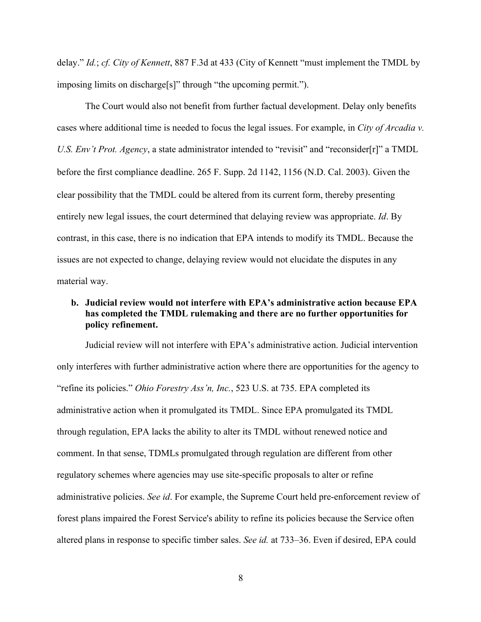delay." *Id.*; *cf. City of Kennett*, 887 F.3d at 433 (City of Kennett "must implement the TMDL by imposing limits on discharge[s]" through "the upcoming permit.").

The Court would also not benefit from further factual development. Delay only benefits cases where additional time is needed to focus the legal issues. For example, in *City of Arcadia v. U.S. Env't Prot. Agency*, a state administrator intended to "revisit" and "reconsider[r]" a TMDL before the first compliance deadline. 265 F. Supp. 2d 1142, 1156 (N.D. Cal. 2003). Given the clear possibility that the TMDL could be altered from its current form, thereby presenting entirely new legal issues, the court determined that delaying review was appropriate. *Id*. By contrast, in this case, there is no indication that EPA intends to modify its TMDL. Because the issues are not expected to change, delaying review would not elucidate the disputes in any material way.

## **b. Judicial review would not interfere with EPA's administrative action because EPA has completed the TMDL rulemaking and there are no further opportunities for policy refinement.**

Judicial review will not interfere with EPA's administrative action. Judicial intervention only interferes with further administrative action where there are opportunities for the agency to "refine its policies." *Ohio Forestry Ass'n, Inc.*, 523 U.S. at 735. EPA completed its administrative action when it promulgated its TMDL. Since EPA promulgated its TMDL through regulation, EPA lacks the ability to alter its TMDL without renewed notice and comment. In that sense, TDMLs promulgated through regulation are different from other regulatory schemes where agencies may use site-specific proposals to alter or refine administrative policies. *See id*. For example, the Supreme Court held pre-enforcement review of forest plans impaired the Forest Service's ability to refine its policies because the Service often altered plans in response to specific timber sales. *See id.* at 733–36. Even if desired, EPA could

8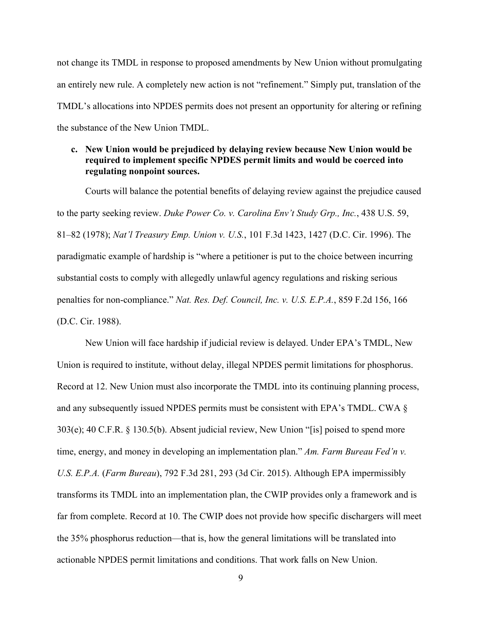not change its TMDL in response to proposed amendments by New Union without promulgating an entirely new rule. A completely new action is not "refinement." Simply put, translation of the TMDL's allocations into NPDES permits does not present an opportunity for altering or refining the substance of the New Union TMDL.

### **c. New Union would be prejudiced by delaying review because New Union would be required to implement specific NPDES permit limits and would be coerced into regulating nonpoint sources.**

Courts will balance the potential benefits of delaying review against the prejudice caused to the party seeking review. *Duke Power Co. v. Carolina Env't Study Grp., Inc.*, 438 U.S. 59, 81–82 (1978); *Nat'l Treasury Emp. Union v. U.S.*, 101 F.3d 1423, 1427 (D.C. Cir. 1996). The paradigmatic example of hardship is "where a petitioner is put to the choice between incurring substantial costs to comply with allegedly unlawful agency regulations and risking serious penalties for non-compliance." *Nat. Res. Def. Council, Inc. v. U.S. E.P.A.*, 859 F.2d 156, 166 (D.C. Cir. 1988).

New Union will face hardship if judicial review is delayed. Under EPA's TMDL, New Union is required to institute, without delay, illegal NPDES permit limitations for phosphorus. Record at 12. New Union must also incorporate the TMDL into its continuing planning process, and any subsequently issued NPDES permits must be consistent with EPA's TMDL. CWA § 303(e); 40 C.F.R. § 130.5(b). Absent judicial review, New Union "[is] poised to spend more time, energy, and money in developing an implementation plan." *Am. Farm Bureau Fed'n v. U.S. E.P.A.* (*Farm Bureau*), 792 F.3d 281, 293 (3d Cir. 2015). Although EPA impermissibly transforms its TMDL into an implementation plan, the CWIP provides only a framework and is far from complete. Record at 10. The CWIP does not provide how specific dischargers will meet the 35% phosphorus reduction—that is, how the general limitations will be translated into actionable NPDES permit limitations and conditions. That work falls on New Union.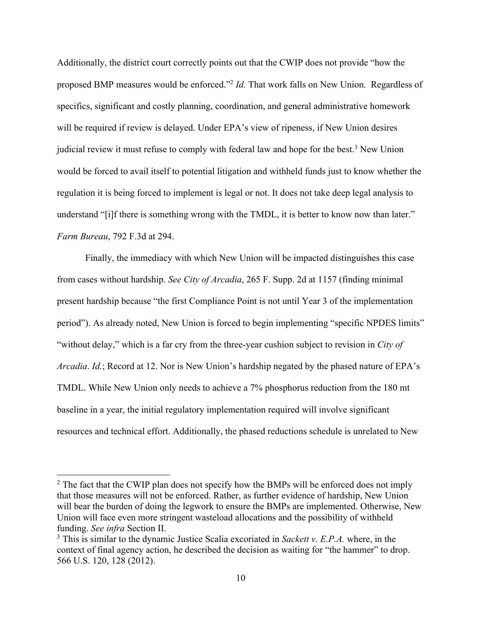Additionally, the district court correctly points out that the CWIP does not provide "how the proposed BMP measures would be enforced."2 *Id.* That work falls on New Union. Regardless of specifics, significant and costly planning, coordination, and general administrative homework will be required if review is delayed. Under EPA's view of ripeness, if New Union desires judicial review it must refuse to comply with federal law and hope for the best.<sup>3</sup> New Union would be forced to avail itself to potential litigation and withheld funds just to know whether the regulation it is being forced to implement is legal or not. It does not take deep legal analysis to understand "[i]f there is something wrong with the TMDL, it is better to know now than later." *Farm Bureau*, 792 F.3d at 294.

Finally, the immediacy with which New Union will be impacted distinguishes this case from cases without hardship. *See City of Arcadia*, 265 F. Supp. 2d at 1157 (finding minimal present hardship because "the first Compliance Point is not until Year 3 of the implementation period"). As already noted, New Union is forced to begin implementing "specific NPDES limits" "without delay," which is a far cry from the three-year cushion subject to revision in *City of Arcadia*. *Id.*; Record at 12. Nor is New Union's hardship negated by the phased nature of EPA's TMDL. While New Union only needs to achieve a 7% phosphorus reduction from the 180 mt baseline in a year, the initial regulatory implementation required will involve significant resources and technical effort. Additionally, the phased reductions schedule is unrelated to New

 $2$  The fact that the CWIP plan does not specify how the BMPs will be enforced does not imply that those measures will not be enforced. Rather, as further evidence of hardship, New Union will bear the burden of doing the legwork to ensure the BMPs are implemented. Otherwise, New Union will face even more stringent wasteload allocations and the possibility of withheld funding. *See infra* Section II.

<sup>3</sup> This is similar to the dynamic Justice Scalia excoriated in *Sackett v. E.P.A.* where, in the context of final agency action, he described the decision as waiting for "the hammer" to drop. 566 U.S. 120, 128 (2012).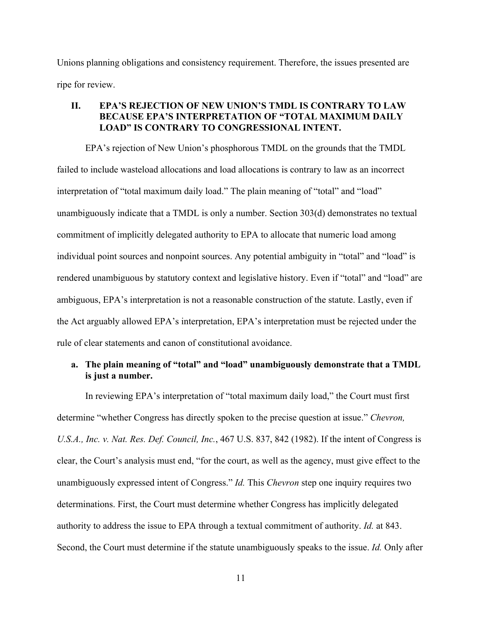Unions planning obligations and consistency requirement. Therefore, the issues presented are ripe for review.

#### **II. EPA'S REJECTION OF NEW UNION'S TMDL IS CONTRARY TO LAW BECAUSE EPA'S INTERPRETATION OF "TOTAL MAXIMUM DAILY LOAD" IS CONTRARY TO CONGRESSIONAL INTENT.**

EPA's rejection of New Union's phosphorous TMDL on the grounds that the TMDL failed to include wasteload allocations and load allocations is contrary to law as an incorrect interpretation of "total maximum daily load." The plain meaning of "total" and "load" unambiguously indicate that a TMDL is only a number. Section 303(d) demonstrates no textual commitment of implicitly delegated authority to EPA to allocate that numeric load among individual point sources and nonpoint sources. Any potential ambiguity in "total" and "load" is rendered unambiguous by statutory context and legislative history. Even if "total" and "load" are ambiguous, EPA's interpretation is not a reasonable construction of the statute. Lastly, even if the Act arguably allowed EPA's interpretation, EPA's interpretation must be rejected under the rule of clear statements and canon of constitutional avoidance.

## **a. The plain meaning of "total" and "load" unambiguously demonstrate that a TMDL is just a number.**

In reviewing EPA's interpretation of "total maximum daily load," the Court must first determine "whether Congress has directly spoken to the precise question at issue." *Chevron, U.S.A., Inc. v. Nat. Res. Def. Council, Inc.*, 467 U.S. 837, 842 (1982). If the intent of Congress is clear, the Court's analysis must end, "for the court, as well as the agency, must give effect to the unambiguously expressed intent of Congress." *Id.* This *Chevron* step one inquiry requires two determinations. First, the Court must determine whether Congress has implicitly delegated authority to address the issue to EPA through a textual commitment of authority. *Id.* at 843. Second, the Court must determine if the statute unambiguously speaks to the issue. *Id.* Only after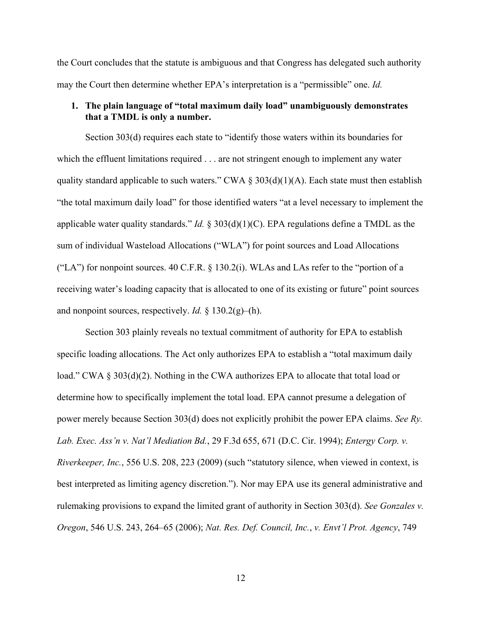the Court concludes that the statute is ambiguous and that Congress has delegated such authority may the Court then determine whether EPA's interpretation is a "permissible" one. *Id.* 

#### **1. The plain language of "total maximum daily load" unambiguously demonstrates that a TMDL is only a number.**

Section 303(d) requires each state to "identify those waters within its boundaries for which the effluent limitations required . . . are not stringent enough to implement any water quality standard applicable to such waters." CWA  $\S 303(d)(1)(A)$ . Each state must then establish "the total maximum daily load" for those identified waters "at a level necessary to implement the applicable water quality standards." *Id.* § 303(d)(1)(C). EPA regulations define a TMDL as the sum of individual Wasteload Allocations ("WLA") for point sources and Load Allocations ("LA") for nonpoint sources. 40 C.F.R. § 130.2(i). WLAs and LAs refer to the "portion of a receiving water's loading capacity that is allocated to one of its existing or future" point sources and nonpoint sources, respectively. *Id.* § 130.2(g)–(h).

Section 303 plainly reveals no textual commitment of authority for EPA to establish specific loading allocations. The Act only authorizes EPA to establish a "total maximum daily load." CWA § 303(d)(2). Nothing in the CWA authorizes EPA to allocate that total load or determine how to specifically implement the total load. EPA cannot presume a delegation of power merely because Section 303(d) does not explicitly prohibit the power EPA claims. *See Ry. Lab. Exec. Ass'n v. Nat'l Mediation Bd.*, 29 F.3d 655, 671 (D.C. Cir. 1994); *Entergy Corp. v. Riverkeeper, Inc.*, 556 U.S. 208, 223 (2009) (such "statutory silence, when viewed in context, is best interpreted as limiting agency discretion."). Nor may EPA use its general administrative and rulemaking provisions to expand the limited grant of authority in Section 303(d). *See Gonzales v. Oregon*, 546 U.S. 243, 264–65 (2006); *Nat. Res. Def. Council, Inc.*, *v. Envt'l Prot. Agency*, 749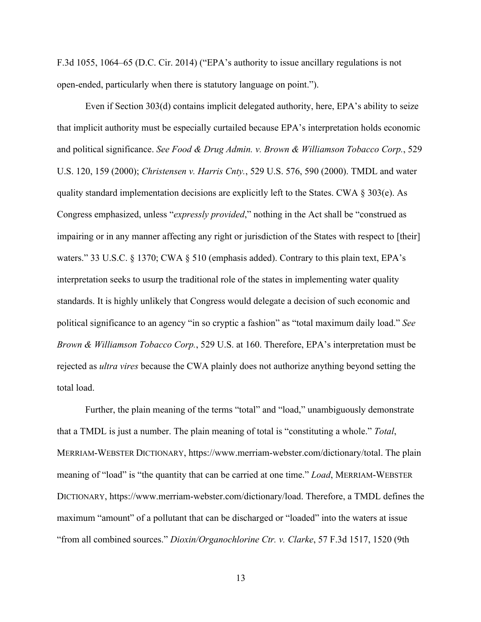F.3d 1055, 1064–65 (D.C. Cir. 2014) ("EPA's authority to issue ancillary regulations is not open-ended, particularly when there is statutory language on point.").

Even if Section 303(d) contains implicit delegated authority, here, EPA's ability to seize that implicit authority must be especially curtailed because EPA's interpretation holds economic and political significance. *See Food & Drug Admin. v. Brown & Williamson Tobacco Corp.*, 529 U.S. 120, 159 (2000); *Christensen v. Harris Cnty.*, 529 U.S. 576, 590 (2000). TMDL and water quality standard implementation decisions are explicitly left to the States. CWA § 303(e). As Congress emphasized, unless "*expressly provided*," nothing in the Act shall be "construed as impairing or in any manner affecting any right or jurisdiction of the States with respect to [their] waters." 33 U.S.C. § 1370; CWA § 510 (emphasis added). Contrary to this plain text, EPA's interpretation seeks to usurp the traditional role of the states in implementing water quality standards. It is highly unlikely that Congress would delegate a decision of such economic and political significance to an agency "in so cryptic a fashion" as "total maximum daily load." *See Brown & Williamson Tobacco Corp.*, 529 U.S. at 160. Therefore, EPA's interpretation must be rejected as *ultra vires* because the CWA plainly does not authorize anything beyond setting the total load.

Further, the plain meaning of the terms "total" and "load," unambiguously demonstrate that a TMDL is just a number. The plain meaning of total is "constituting a whole." *Total*, MERRIAM-WEBSTER DICTIONARY, https://www.merriam-webster.com/dictionary/total. The plain meaning of "load" is "the quantity that can be carried at one time." *Load*, MERRIAM-WEBSTER DICTIONARY, https://www.merriam-webster.com/dictionary/load. Therefore, a TMDL defines the maximum "amount" of a pollutant that can be discharged or "loaded" into the waters at issue "from all combined sources." *Dioxin/Organochlorine Ctr. v. Clarke*, 57 F.3d 1517, 1520 (9th

13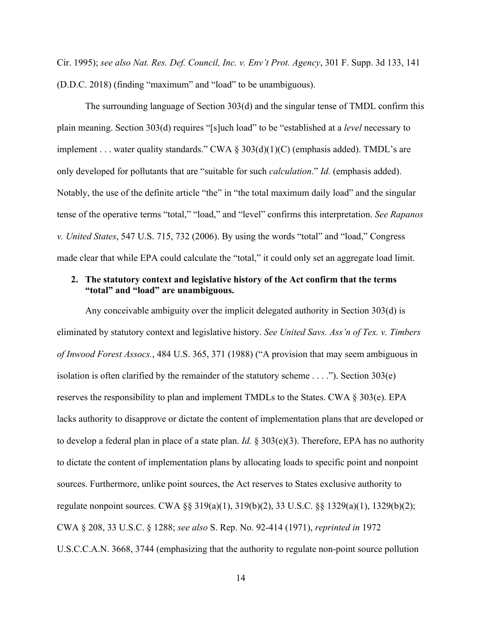Cir. 1995); *see also Nat. Res. Def. Council, Inc. v. Env't Prot. Agency*, 301 F. Supp. 3d 133, 141 (D.D.C. 2018) (finding "maximum" and "load" to be unambiguous).

The surrounding language of Section 303(d) and the singular tense of TMDL confirm this plain meaning. Section 303(d) requires "[s]uch load" to be "established at a *level* necessary to implement . . . water quality standards." CWA § 303(d)(1)(C) (emphasis added). TMDL's are only developed for pollutants that are "suitable for such *calculation*." *Id.* (emphasis added). Notably, the use of the definite article "the" in "the total maximum daily load" and the singular tense of the operative terms "total," "load," and "level" confirms this interpretation. *See Rapanos v. United States*, 547 U.S. 715, 732 (2006). By using the words "total" and "load," Congress made clear that while EPA could calculate the "total," it could only set an aggregate load limit.

#### **2. The statutory context and legislative history of the Act confirm that the terms "total" and "load" are unambiguous.**

Any conceivable ambiguity over the implicit delegated authority in Section 303(d) is eliminated by statutory context and legislative history. *See United Savs. Ass'n of Tex. v. Timbers of Inwood Forest Assocs.*, 484 U.S. 365, 371 (1988) ("A provision that may seem ambiguous in isolation is often clarified by the remainder of the statutory scheme . . . ."). Section 303(e) reserves the responsibility to plan and implement TMDLs to the States. CWA § 303(e). EPA lacks authority to disapprove or dictate the content of implementation plans that are developed or to develop a federal plan in place of a state plan. *Id.* § 303(e)(3). Therefore, EPA has no authority to dictate the content of implementation plans by allocating loads to specific point and nonpoint sources. Furthermore, unlike point sources, the Act reserves to States exclusive authority to regulate nonpoint sources. CWA §§ 319(a)(1), 319(b)(2), 33 U.S.C. §§ 1329(a)(1), 1329(b)(2); CWA § 208, 33 U.S.C. § 1288; *see also* S. Rep. No. 92-414 (1971), *reprinted in* 1972 U.S.C.C.A.N. 3668, 3744 (emphasizing that the authority to regulate non-point source pollution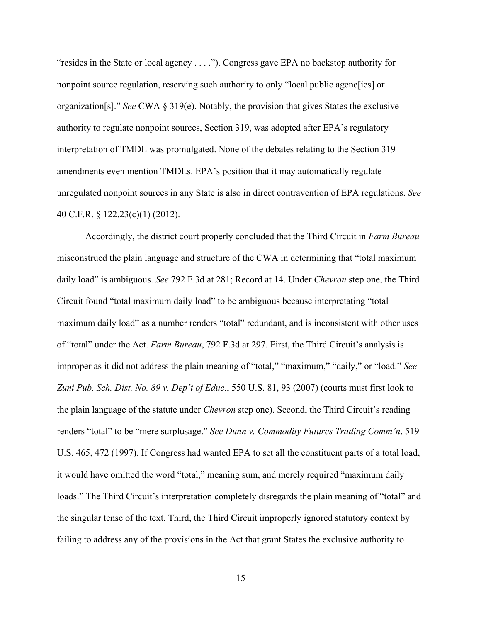"resides in the State or local agency . . . ."). Congress gave EPA no backstop authority for nonpoint source regulation, reserving such authority to only "local public agenc[ies] or organization[s]." *See* CWA § 319(e). Notably, the provision that gives States the exclusive authority to regulate nonpoint sources, Section 319, was adopted after EPA's regulatory interpretation of TMDL was promulgated. None of the debates relating to the Section 319 amendments even mention TMDLs. EPA's position that it may automatically regulate unregulated nonpoint sources in any State is also in direct contravention of EPA regulations. *See*  40 C.F.R. § 122.23(c)(1) (2012).

Accordingly, the district court properly concluded that the Third Circuit in *Farm Bureau*  misconstrued the plain language and structure of the CWA in determining that "total maximum daily load" is ambiguous. *See* 792 F.3d at 281; Record at 14. Under *Chevron* step one, the Third Circuit found "total maximum daily load" to be ambiguous because interpretating "total maximum daily load" as a number renders "total" redundant, and is inconsistent with other uses of "total" under the Act. *Farm Bureau*, 792 F.3d at 297. First, the Third Circuit's analysis is improper as it did not address the plain meaning of "total," "maximum," "daily," or "load." *See Zuni Pub. Sch. Dist. No. 89 v. Dep't of Educ.*, 550 U.S. 81, 93 (2007) (courts must first look to the plain language of the statute under *Chevron* step one). Second, the Third Circuit's reading renders "total" to be "mere surplusage." *See Dunn v. Commodity Futures Trading Comm'n*, 519 U.S. 465, 472 (1997). If Congress had wanted EPA to set all the constituent parts of a total load, it would have omitted the word "total," meaning sum, and merely required "maximum daily loads." The Third Circuit's interpretation completely disregards the plain meaning of "total" and the singular tense of the text. Third, the Third Circuit improperly ignored statutory context by failing to address any of the provisions in the Act that grant States the exclusive authority to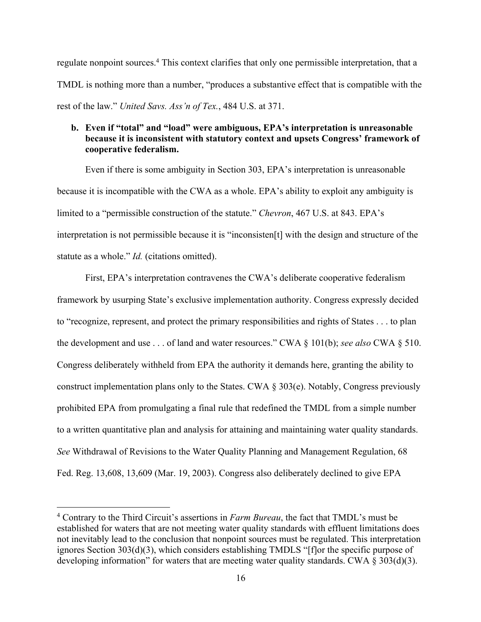regulate nonpoint sources.<sup>4</sup> This context clarifies that only one permissible interpretation, that a TMDL is nothing more than a number, "produces a substantive effect that is compatible with the rest of the law." *United Savs. Ass'n of Tex.*, 484 U.S. at 371.

### **b. Even if "total" and "load" were ambiguous, EPA's interpretation is unreasonable because it is inconsistent with statutory context and upsets Congress' framework of cooperative federalism.**

Even if there is some ambiguity in Section 303, EPA's interpretation is unreasonable because it is incompatible with the CWA as a whole. EPA's ability to exploit any ambiguity is limited to a "permissible construction of the statute." *Chevron*, 467 U.S. at 843. EPA's interpretation is not permissible because it is "inconsisten[t] with the design and structure of the statute as a whole." *Id.* (citations omitted).

First, EPA's interpretation contravenes the CWA's deliberate cooperative federalism framework by usurping State's exclusive implementation authority. Congress expressly decided to "recognize, represent, and protect the primary responsibilities and rights of States . . . to plan the development and use . . . of land and water resources." CWA § 101(b); *see also* CWA § 510. Congress deliberately withheld from EPA the authority it demands here, granting the ability to construct implementation plans only to the States. CWA § 303(e). Notably, Congress previously prohibited EPA from promulgating a final rule that redefined the TMDL from a simple number to a written quantitative plan and analysis for attaining and maintaining water quality standards. *See* Withdrawal of Revisions to the Water Quality Planning and Management Regulation, 68 Fed. Reg. 13,608, 13,609 (Mar. 19, 2003). Congress also deliberately declined to give EPA

<sup>4</sup> Contrary to the Third Circuit's assertions in *Farm Bureau*, the fact that TMDL's must be established for waters that are not meeting water quality standards with effluent limitations does not inevitably lead to the conclusion that nonpoint sources must be regulated. This interpretation ignores Section 303(d)(3), which considers establishing TMDLS "[f]or the specific purpose of developing information" for waters that are meeting water quality standards. CWA § 303(d)(3).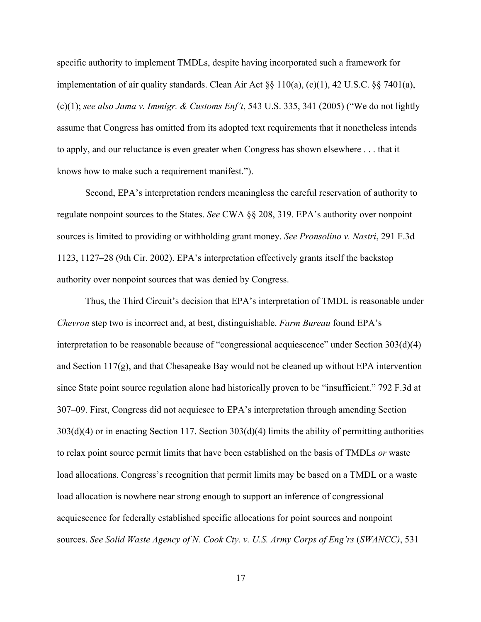specific authority to implement TMDLs, despite having incorporated such a framework for implementation of air quality standards. Clean Air Act  $\S$ § 110(a), (c)(1), 42 U.S.C.  $\S$ § 7401(a), (c)(1); *see also Jama v. Immigr. & Customs Enf't*, 543 U.S. 335, 341 (2005) ("We do not lightly assume that Congress has omitted from its adopted text requirements that it nonetheless intends to apply, and our reluctance is even greater when Congress has shown elsewhere . . . that it knows how to make such a requirement manifest.").

Second, EPA's interpretation renders meaningless the careful reservation of authority to regulate nonpoint sources to the States. *See* CWA §§ 208, 319. EPA's authority over nonpoint sources is limited to providing or withholding grant money. *See Pronsolino v. Nastri*, 291 F.3d 1123, 1127–28 (9th Cir. 2002). EPA's interpretation effectively grants itself the backstop authority over nonpoint sources that was denied by Congress.

Thus, the Third Circuit's decision that EPA's interpretation of TMDL is reasonable under *Chevron* step two is incorrect and, at best, distinguishable. *Farm Bureau* found EPA's interpretation to be reasonable because of "congressional acquiescence" under Section 303(d)(4) and Section 117(g), and that Chesapeake Bay would not be cleaned up without EPA intervention since State point source regulation alone had historically proven to be "insufficient." 792 F.3d at 307–09. First, Congress did not acquiesce to EPA's interpretation through amending Section 303(d)(4) or in enacting Section 117. Section 303(d)(4) limits the ability of permitting authorities to relax point source permit limits that have been established on the basis of TMDLs *or* waste load allocations. Congress's recognition that permit limits may be based on a TMDL or a waste load allocation is nowhere near strong enough to support an inference of congressional acquiescence for federally established specific allocations for point sources and nonpoint sources. *See Solid Waste Agency of N. Cook Cty. v. U.S. Army Corps of Eng'rs (SWANCC)*, 531

17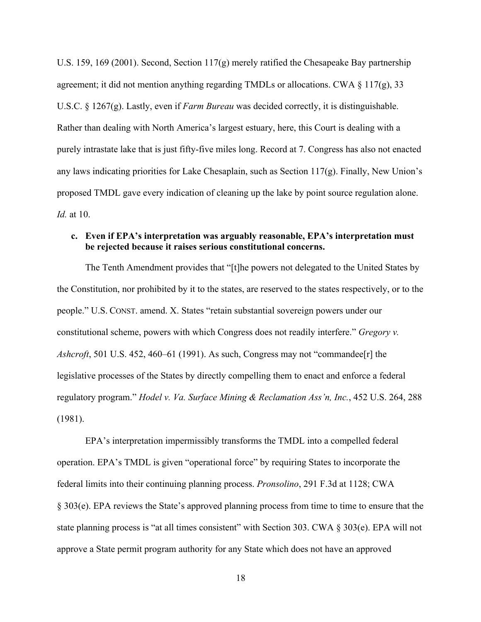U.S. 159, 169 (2001). Second, Section 117(g) merely ratified the Chesapeake Bay partnership agreement; it did not mention anything regarding TMDLs or allocations. CWA  $\S 117(g)$ , 33 U.S.C. § 1267(g). Lastly, even if *Farm Bureau* was decided correctly, it is distinguishable. Rather than dealing with North America's largest estuary, here, this Court is dealing with a purely intrastate lake that is just fifty-five miles long. Record at 7. Congress has also not enacted any laws indicating priorities for Lake Chesaplain, such as Section  $117(g)$ . Finally, New Union's proposed TMDL gave every indication of cleaning up the lake by point source regulation alone. *Id.* at 10.

#### **c. Even if EPA's interpretation was arguably reasonable, EPA's interpretation must be rejected because it raises serious constitutional concerns.**

The Tenth Amendment provides that "[t]he powers not delegated to the United States by the Constitution, nor prohibited by it to the states, are reserved to the states respectively, or to the people." U.S. CONST. amend. X. States "retain substantial sovereign powers under our constitutional scheme, powers with which Congress does not readily interfere." *Gregory v. Ashcroft*, 501 U.S. 452, 460–61 (1991). As such, Congress may not "commandee[r] the legislative processes of the States by directly compelling them to enact and enforce a federal regulatory program." *Hodel v. Va. Surface Mining & Reclamation Ass'n, Inc.*, 452 U.S. 264, 288 (1981).

EPA's interpretation impermissibly transforms the TMDL into a compelled federal operation. EPA's TMDL is given "operational force" by requiring States to incorporate the federal limits into their continuing planning process. *Pronsolino*, 291 F.3d at 1128; CWA § 303(e). EPA reviews the State's approved planning process from time to time to ensure that the state planning process is "at all times consistent" with Section 303. CWA § 303(e). EPA will not approve a State permit program authority for any State which does not have an approved

18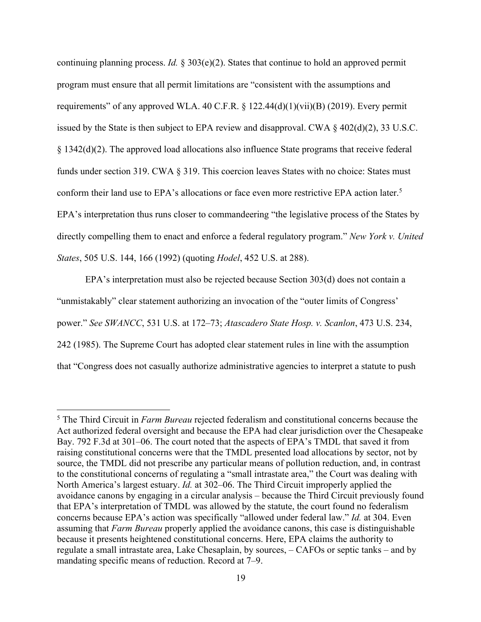continuing planning process. *Id.* § 303(e)(2). States that continue to hold an approved permit program must ensure that all permit limitations are "consistent with the assumptions and requirements" of any approved WLA. 40 C.F.R.  $\S$  122.44(d)(1)(vii)(B) (2019). Every permit issued by the State is then subject to EPA review and disapproval. CWA § 402(d)(2), 33 U.S.C. § 1342(d)(2). The approved load allocations also influence State programs that receive federal funds under section 319. CWA § 319. This coercion leaves States with no choice: States must conform their land use to EPA's allocations or face even more restrictive EPA action later.<sup>5</sup> EPA's interpretation thus runs closer to commandeering "the legislative process of the States by directly compelling them to enact and enforce a federal regulatory program." *New York v. United States*, 505 U.S. 144, 166 (1992) (quoting *Hodel*, 452 U.S. at 288).

EPA's interpretation must also be rejected because Section 303(d) does not contain a "unmistakably" clear statement authorizing an invocation of the "outer limits of Congress' power." *See SWANCC*, 531 U.S. at 172–73; *Atascadero State Hosp. v. Scanlon*, 473 U.S. 234, 242 (1985). The Supreme Court has adopted clear statement rules in line with the assumption that "Congress does not casually authorize administrative agencies to interpret a statute to push

<sup>5</sup> The Third Circuit in *Farm Bureau* rejected federalism and constitutional concerns because the Act authorized federal oversight and because the EPA had clear jurisdiction over the Chesapeake Bay. 792 F.3d at 301–06. The court noted that the aspects of EPA's TMDL that saved it from raising constitutional concerns were that the TMDL presented load allocations by sector, not by source, the TMDL did not prescribe any particular means of pollution reduction, and, in contrast to the constitutional concerns of regulating a "small intrastate area," the Court was dealing with North America's largest estuary. *Id.* at 302–06. The Third Circuit improperly applied the avoidance canons by engaging in a circular analysis – because the Third Circuit previously found that EPA's interpretation of TMDL was allowed by the statute, the court found no federalism concerns because EPA's action was specifically "allowed under federal law." *Id.* at 304. Even assuming that *Farm Bureau* properly applied the avoidance canons, this case is distinguishable because it presents heightened constitutional concerns. Here, EPA claims the authority to regulate a small intrastate area, Lake Chesaplain, by sources, – CAFOs or septic tanks – and by mandating specific means of reduction. Record at 7–9.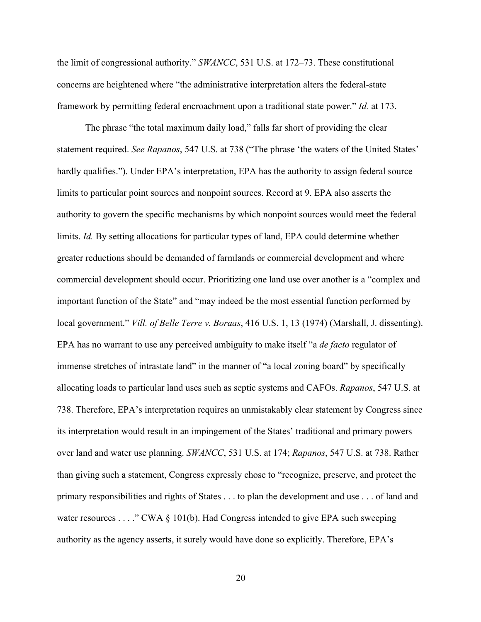the limit of congressional authority." *SWANCC*, 531 U.S. at 172–73. These constitutional concerns are heightened where "the administrative interpretation alters the federal-state framework by permitting federal encroachment upon a traditional state power." *Id.* at 173.

The phrase "the total maximum daily load," falls far short of providing the clear statement required. *See Rapanos*, 547 U.S. at 738 ("The phrase 'the waters of the United States' hardly qualifies."). Under EPA's interpretation, EPA has the authority to assign federal source limits to particular point sources and nonpoint sources. Record at 9. EPA also asserts the authority to govern the specific mechanisms by which nonpoint sources would meet the federal limits. *Id.* By setting allocations for particular types of land, EPA could determine whether greater reductions should be demanded of farmlands or commercial development and where commercial development should occur. Prioritizing one land use over another is a "complex and important function of the State" and "may indeed be the most essential function performed by local government." *Vill. of Belle Terre v. Boraas*, 416 U.S. 1, 13 (1974) (Marshall, J. dissenting). EPA has no warrant to use any perceived ambiguity to make itself "a *de facto* regulator of immense stretches of intrastate land" in the manner of "a local zoning board" by specifically allocating loads to particular land uses such as septic systems and CAFOs. *Rapanos*, 547 U.S. at 738. Therefore, EPA's interpretation requires an unmistakably clear statement by Congress since its interpretation would result in an impingement of the States' traditional and primary powers over land and water use planning. *SWANCC*, 531 U.S. at 174; *Rapanos*, 547 U.S. at 738. Rather than giving such a statement, Congress expressly chose to "recognize, preserve, and protect the primary responsibilities and rights of States . . . to plan the development and use . . . of land and water resources . . . ." CWA § 101(b). Had Congress intended to give EPA such sweeping authority as the agency asserts, it surely would have done so explicitly. Therefore, EPA's

20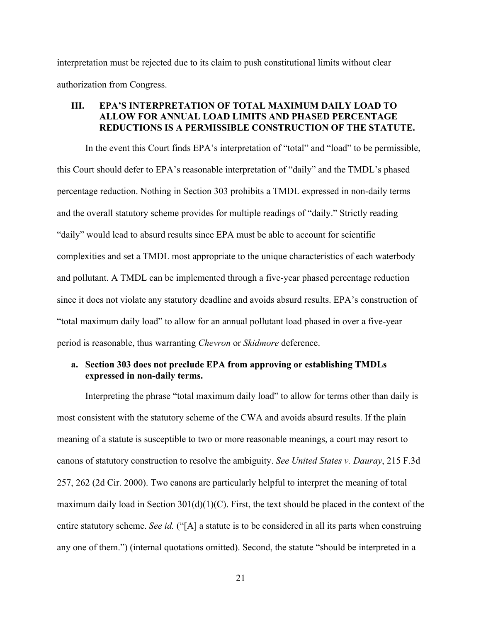interpretation must be rejected due to its claim to push constitutional limits without clear authorization from Congress.

#### **III. EPA'S INTERPRETATION OF TOTAL MAXIMUM DAILY LOAD TO ALLOW FOR ANNUAL LOAD LIMITS AND PHASED PERCENTAGE REDUCTIONS IS A PERMISSIBLE CONSTRUCTION OF THE STATUTE.**

In the event this Court finds EPA's interpretation of "total" and "load" to be permissible, this Court should defer to EPA's reasonable interpretation of "daily" and the TMDL's phased percentage reduction. Nothing in Section 303 prohibits a TMDL expressed in non-daily terms and the overall statutory scheme provides for multiple readings of "daily." Strictly reading "daily" would lead to absurd results since EPA must be able to account for scientific complexities and set a TMDL most appropriate to the unique characteristics of each waterbody and pollutant. A TMDL can be implemented through a five-year phased percentage reduction since it does not violate any statutory deadline and avoids absurd results. EPA's construction of "total maximum daily load" to allow for an annual pollutant load phased in over a five-year period is reasonable, thus warranting *Chevron* or *Skidmore* deference.

### **a. Section 303 does not preclude EPA from approving or establishing TMDLs expressed in non-daily terms.**

Interpreting the phrase "total maximum daily load" to allow for terms other than daily is most consistent with the statutory scheme of the CWA and avoids absurd results. If the plain meaning of a statute is susceptible to two or more reasonable meanings, a court may resort to canons of statutory construction to resolve the ambiguity. *See United States v. Dauray*, 215 F.3d 257, 262 (2d Cir. 2000). Two canons are particularly helpful to interpret the meaning of total maximum daily load in Section  $301(d)(1)(C)$ . First, the text should be placed in the context of the entire statutory scheme. *See id.* ("[A] a statute is to be considered in all its parts when construing any one of them.") (internal quotations omitted). Second, the statute "should be interpreted in a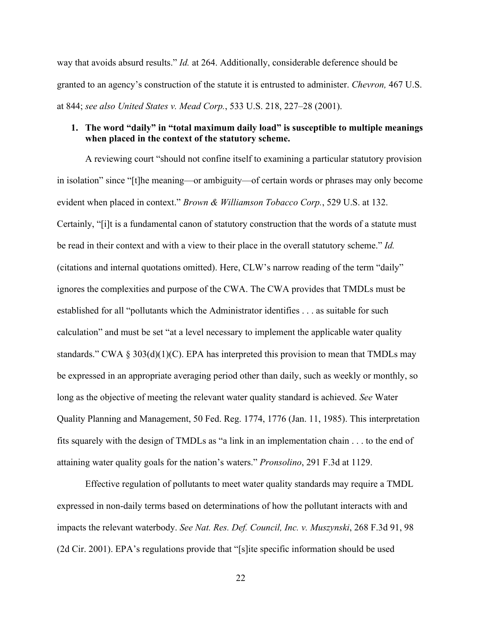way that avoids absurd results." *Id.* at 264. Additionally, considerable deference should be granted to an agency's construction of the statute it is entrusted to administer. *Chevron,* 467 U.S. at 844; *see also United States v. Mead Corp.*, 533 U.S. 218, 227–28 (2001).

#### **1. The word "daily" in "total maximum daily load" is susceptible to multiple meanings when placed in the context of the statutory scheme.**

A reviewing court "should not confine itself to examining a particular statutory provision in isolation" since "[t]he meaning—or ambiguity—of certain words or phrases may only become evident when placed in context." *Brown & Williamson Tobacco Corp.*, 529 U.S. at 132. Certainly, "[i]t is a fundamental canon of statutory construction that the words of a statute must be read in their context and with a view to their place in the overall statutory scheme." *Id.* (citations and internal quotations omitted). Here, CLW's narrow reading of the term "daily" ignores the complexities and purpose of the CWA. The CWA provides that TMDLs must be established for all "pollutants which the Administrator identifies . . . as suitable for such calculation" and must be set "at a level necessary to implement the applicable water quality standards." CWA  $\S 303(d)(1)(C)$ . EPA has interpreted this provision to mean that TMDLs may be expressed in an appropriate averaging period other than daily, such as weekly or monthly, so long as the objective of meeting the relevant water quality standard is achieved. *See* Water Quality Planning and Management, 50 Fed. Reg. 1774, 1776 (Jan. 11, 1985). This interpretation fits squarely with the design of TMDLs as "a link in an implementation chain . . . to the end of attaining water quality goals for the nation's waters." *Pronsolino*, 291 F.3d at 1129.

Effective regulation of pollutants to meet water quality standards may require a TMDL expressed in non-daily terms based on determinations of how the pollutant interacts with and impacts the relevant waterbody. *See Nat. Res. Def. Council, Inc. v. Muszynski*, 268 F.3d 91, 98 (2d Cir. 2001). EPA's regulations provide that "[s]ite specific information should be used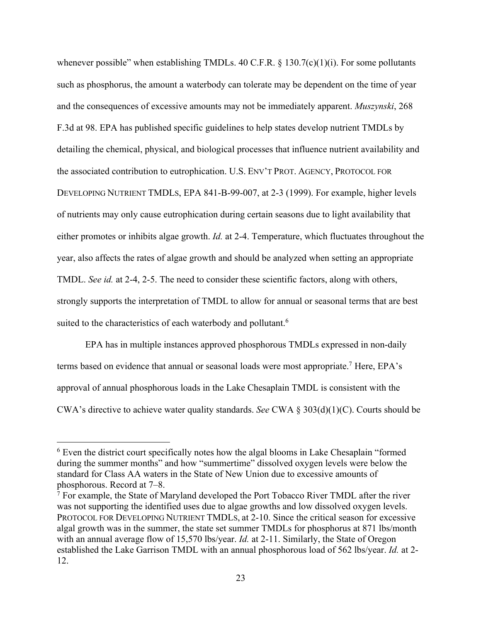whenever possible" when establishing TMDLs. 40 C.F.R.  $\S$  130.7(c)(1)(i). For some pollutants such as phosphorus, the amount a waterbody can tolerate may be dependent on the time of year and the consequences of excessive amounts may not be immediately apparent. *Muszynski*, 268 F.3d at 98. EPA has published specific guidelines to help states develop nutrient TMDLs by detailing the chemical, physical, and biological processes that influence nutrient availability and the associated contribution to eutrophication. U.S. ENV'T PROT. AGENCY, PROTOCOL FOR DEVELOPING NUTRIENT TMDLS, EPA 841-B-99-007, at 2-3 (1999). For example, higher levels of nutrients may only cause eutrophication during certain seasons due to light availability that either promotes or inhibits algae growth. *Id.* at 2-4. Temperature, which fluctuates throughout the year, also affects the rates of algae growth and should be analyzed when setting an appropriate TMDL. *See id.* at 2-4, 2-5. The need to consider these scientific factors, along with others, strongly supports the interpretation of TMDL to allow for annual or seasonal terms that are best suited to the characteristics of each waterbody and pollutant.<sup>6</sup>

EPA has in multiple instances approved phosphorous TMDLs expressed in non-daily terms based on evidence that annual or seasonal loads were most appropriate.<sup>7</sup> Here, EPA's approval of annual phosphorous loads in the Lake Chesaplain TMDL is consistent with the CWA's directive to achieve water quality standards. *See* CWA § 303(d)(1)(C). Courts should be

<sup>6</sup> Even the district court specifically notes how the algal blooms in Lake Chesaplain "formed during the summer months" and how "summertime" dissolved oxygen levels were below the standard for Class AA waters in the State of New Union due to excessive amounts of phosphorous. Record at 7–8.

 $7$  For example, the State of Maryland developed the Port Tobacco River TMDL after the river was not supporting the identified uses due to algae growths and low dissolved oxygen levels. PROTOCOL FOR DEVELOPING NUTRIENT TMDLS, at 2-10. Since the critical season for excessive algal growth was in the summer, the state set summer TMDLs for phosphorus at 871 lbs/month with an annual average flow of 15,570 lbs/year. *Id.* at 2-11. Similarly, the State of Oregon established the Lake Garrison TMDL with an annual phosphorous load of 562 lbs/year. *Id.* at 2- 12.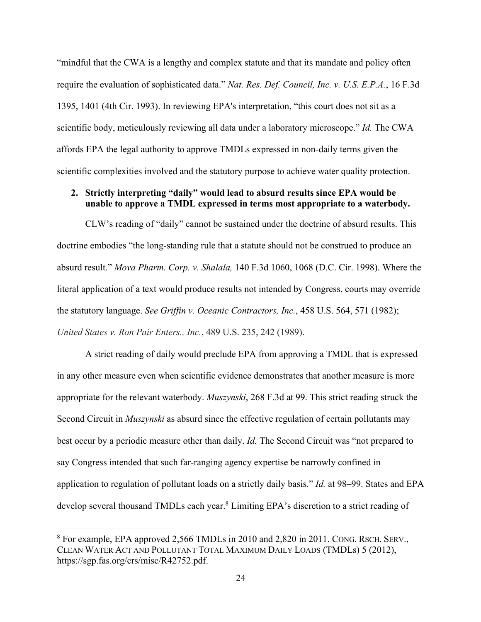"mindful that the CWA is a lengthy and complex statute and that its mandate and policy often require the evaluation of sophisticated data." *Nat. Res. Def. Council, Inc. v. U.S. E.P.A.*, 16 F.3d 1395, 1401 (4th Cir. 1993). In reviewing EPA's interpretation, "this court does not sit as a scientific body, meticulously reviewing all data under a laboratory microscope." *Id.* The CWA affords EPA the legal authority to approve TMDLs expressed in non-daily terms given the scientific complexities involved and the statutory purpose to achieve water quality protection.

#### **2. Strictly interpreting "daily" would lead to absurd results since EPA would be unable to approve a TMDL expressed in terms most appropriate to a waterbody.**

CLW's reading of "daily" cannot be sustained under the doctrine of absurd results. This doctrine embodies "the long-standing rule that a statute should not be construed to produce an absurd result." *Mova Pharm. Corp. v. Shalala,* 140 F.3d 1060, 1068 (D.C. Cir. 1998). Where the literal application of a text would produce results not intended by Congress, courts may override the statutory language. *See Griffin v. Oceanic Contractors, Inc.*, 458 U.S. 564, 571 (1982); *United States v. Ron Pair Enters., Inc.*, 489 U.S. 235, 242 (1989).

A strict reading of daily would preclude EPA from approving a TMDL that is expressed in any other measure even when scientific evidence demonstrates that another measure is more appropriate for the relevant waterbody. *Muszynski*, 268 F.3d at 99. This strict reading struck the Second Circuit in *Muszynski* as absurd since the effective regulation of certain pollutants may best occur by a periodic measure other than daily. *Id.* The Second Circuit was "not prepared to say Congress intended that such far-ranging agency expertise be narrowly confined in application to regulation of pollutant loads on a strictly daily basis." *Id.* at 98–99. States and EPA develop several thousand TMDLs each year.<sup>8</sup> Limiting EPA's discretion to a strict reading of

<sup>8</sup> For example, EPA approved 2,566 TMDLs in 2010 and 2,820 in 2011. CONG. RSCH. SERV., CLEAN WATER ACT AND POLLUTANT TOTAL MAXIMUM DAILY LOADS (TMDLs) 5 (2012), https://sgp.fas.org/crs/misc/R42752.pdf.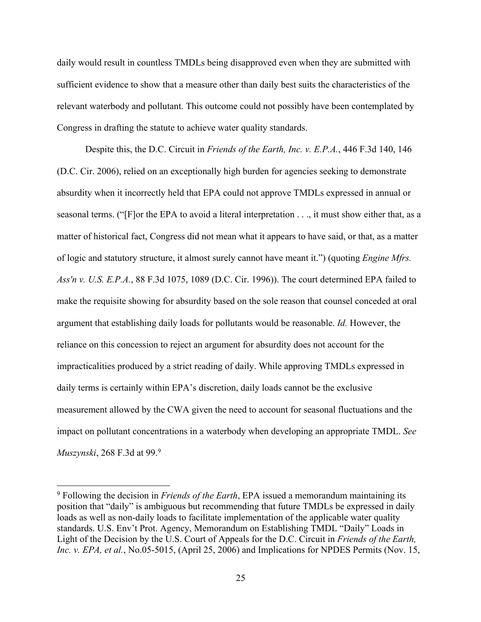daily would result in countless TMDLs being disapproved even when they are submitted with sufficient evidence to show that a measure other than daily best suits the characteristics of the relevant waterbody and pollutant. This outcome could not possibly have been contemplated by Congress in drafting the statute to achieve water quality standards.

Despite this, the D.C. Circuit in *Friends of the Earth, Inc. v. E.P.A.*, 446 F.3d 140, 146 (D.C. Cir. 2006), relied on an exceptionally high burden for agencies seeking to demonstrate absurdity when it incorrectly held that EPA could not approve TMDLs expressed in annual or seasonal terms. ("[F]or the EPA to avoid a literal interpretation . . ., it must show either that, as a matter of historical fact, Congress did not mean what it appears to have said, or that, as a matter of logic and statutory structure, it almost surely cannot have meant it.") (quoting *Engine Mfrs. Ass'n v. U.S. E.P.A.*, 88 F.3d 1075, 1089 (D.C. Cir. 1996)). The court determined EPA failed to make the requisite showing for absurdity based on the sole reason that counsel conceded at oral argument that establishing daily loads for pollutants would be reasonable. *Id.* However, the reliance on this concession to reject an argument for absurdity does not account for the impracticalities produced by a strict reading of daily. While approving TMDLs expressed in daily terms is certainly within EPA's discretion, daily loads cannot be the exclusive measurement allowed by the CWA given the need to account for seasonal fluctuations and the impact on pollutant concentrations in a waterbody when developing an appropriate TMDL. *See Muszynski*, 268 F.3d at 99.9

<sup>9</sup> Following the decision in *Friends of the Earth*, EPA issued a memorandum maintaining its position that "daily" is ambiguous but recommending that future TMDLs be expressed in daily loads as well as non-daily loads to facilitate implementation of the applicable water quality standards. U.S. Env't Prot. Agency, Memorandum on Establishing TMDL "Daily" Loads in Light of the Decision by the U.S. Court of Appeals for the D.C. Circuit in *Friends of the Earth, Inc. v. EPA, et al., No.05-5015, (April 25, 2006) and Implications for NPDES Permits (Nov. 15,*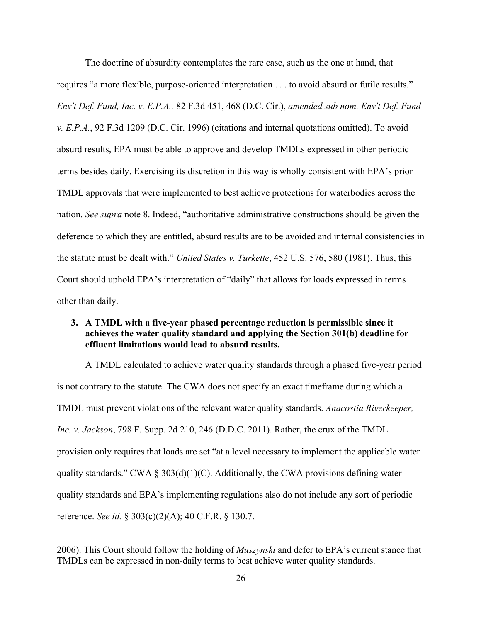The doctrine of absurdity contemplates the rare case, such as the one at hand, that requires "a more flexible, purpose-oriented interpretation . . . to avoid absurd or futile results." *Env't Def. Fund, Inc. v. E.P.A.,* 82 F.3d 451, 468 (D.C. Cir.), *amended sub nom. Env't Def. Fund v. E.P.A.*, 92 F.3d 1209 (D.C. Cir. 1996) (citations and internal quotations omitted). To avoid absurd results, EPA must be able to approve and develop TMDLs expressed in other periodic terms besides daily. Exercising its discretion in this way is wholly consistent with EPA's prior TMDL approvals that were implemented to best achieve protections for waterbodies across the nation. *See supra* note 8. Indeed, "authoritative administrative constructions should be given the deference to which they are entitled, absurd results are to be avoided and internal consistencies in the statute must be dealt with." *United States v. Turkette*, 452 U.S. 576, 580 (1981). Thus, this Court should uphold EPA's interpretation of "daily" that allows for loads expressed in terms other than daily.

#### **3. A TMDL with a five-year phased percentage reduction is permissible since it achieves the water quality standard and applying the Section 301(b) deadline for effluent limitations would lead to absurd results.**

A TMDL calculated to achieve water quality standards through a phased five-year period is not contrary to the statute. The CWA does not specify an exact timeframe during which a TMDL must prevent violations of the relevant water quality standards. *Anacostia Riverkeeper, Inc. v. Jackson*, 798 F. Supp. 2d 210, 246 (D.D.C. 2011). Rather, the crux of the TMDL provision only requires that loads are set "at a level necessary to implement the applicable water quality standards." CWA  $\S 303(d)(1)(C)$ . Additionally, the CWA provisions defining water quality standards and EPA's implementing regulations also do not include any sort of periodic reference. *See id.* § 303(c)(2)(A); 40 C.F.R. § 130.7.

<sup>2006).</sup> This Court should follow the holding of *Muszynski* and defer to EPA's current stance that TMDLs can be expressed in non-daily terms to best achieve water quality standards.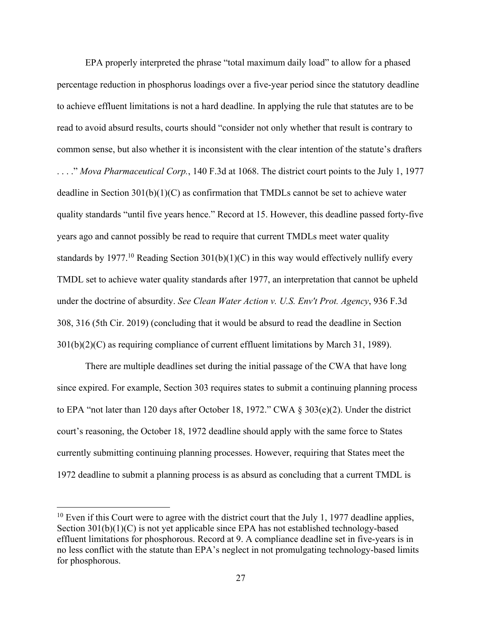EPA properly interpreted the phrase "total maximum daily load" to allow for a phased percentage reduction in phosphorus loadings over a five-year period since the statutory deadline to achieve effluent limitations is not a hard deadline. In applying the rule that statutes are to be read to avoid absurd results, courts should "consider not only whether that result is contrary to common sense, but also whether it is inconsistent with the clear intention of the statute's drafters . . . ." *Mova Pharmaceutical Corp.*, 140 F.3d at 1068. The district court points to the July 1, 1977 deadline in Section  $301(b)(1)(C)$  as confirmation that TMDLs cannot be set to achieve water quality standards "until five years hence." Record at 15. However, this deadline passed forty-five years ago and cannot possibly be read to require that current TMDLs meet water quality standards by 1977.<sup>10</sup> Reading Section 301(b)(1)(C) in this way would effectively nullify every TMDL set to achieve water quality standards after 1977, an interpretation that cannot be upheld under the doctrine of absurdity. *See Clean Water Action v. U.S. Env't Prot. Agency*, 936 F.3d 308, 316 (5th Cir. 2019) (concluding that it would be absurd to read the deadline in Section 301(b)(2)(C) as requiring compliance of current effluent limitations by March 31, 1989).

There are multiple deadlines set during the initial passage of the CWA that have long since expired. For example, Section 303 requires states to submit a continuing planning process to EPA "not later than 120 days after October 18, 1972." CWA § 303(e)(2). Under the district court's reasoning, the October 18, 1972 deadline should apply with the same force to States currently submitting continuing planning processes. However, requiring that States meet the 1972 deadline to submit a planning process is as absurd as concluding that a current TMDL is

 $10$  Even if this Court were to agree with the district court that the July 1, 1977 deadline applies, Section 301(b)(1)(C) is not yet applicable since EPA has not established technology-based effluent limitations for phosphorous. Record at 9. A compliance deadline set in five-years is in no less conflict with the statute than EPA's neglect in not promulgating technology-based limits for phosphorous.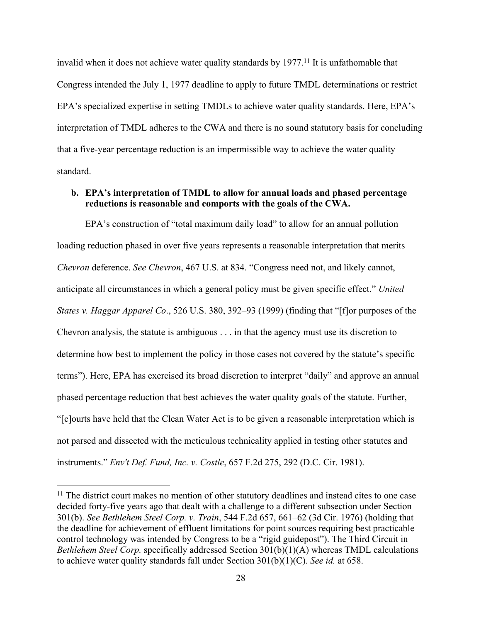invalid when it does not achieve water quality standards by  $1977<sup>11</sup>$  It is unfathomable that Congress intended the July 1, 1977 deadline to apply to future TMDL determinations or restrict EPA's specialized expertise in setting TMDLs to achieve water quality standards. Here, EPA's interpretation of TMDL adheres to the CWA and there is no sound statutory basis for concluding that a five-year percentage reduction is an impermissible way to achieve the water quality standard.

#### **b. EPA's interpretation of TMDL to allow for annual loads and phased percentage reductions is reasonable and comports with the goals of the CWA.**

EPA's construction of "total maximum daily load" to allow for an annual pollution loading reduction phased in over five years represents a reasonable interpretation that merits *Chevron* deference. *See Chevron*, 467 U.S. at 834. "Congress need not, and likely cannot, anticipate all circumstances in which a general policy must be given specific effect." *United States v. Haggar Apparel Co*., 526 U.S. 380, 392–93 (1999) (finding that "[f]or purposes of the Chevron analysis, the statute is ambiguous . . . in that the agency must use its discretion to determine how best to implement the policy in those cases not covered by the statute's specific terms"). Here, EPA has exercised its broad discretion to interpret "daily" and approve an annual phased percentage reduction that best achieves the water quality goals of the statute. Further, "[c]ourts have held that the Clean Water Act is to be given a reasonable interpretation which is not parsed and dissected with the meticulous technicality applied in testing other statutes and instruments." *Env't Def. Fund, Inc. v. Costle*, 657 F.2d 275, 292 (D.C. Cir. 1981).

<sup>&</sup>lt;sup>11</sup> The district court makes no mention of other statutory deadlines and instead cites to one case decided forty-five years ago that dealt with a challenge to a different subsection under Section 301(b). *See Bethlehem Steel Corp. v. Train*, 544 F.2d 657, 661–62 (3d Cir. 1976) (holding that the deadline for achievement of effluent limitations for point sources requiring best practicable control technology was intended by Congress to be a "rigid guidepost"). The Third Circuit in *Bethlehem Steel Corp.* specifically addressed Section 301(b)(1)(A) whereas TMDL calculations to achieve water quality standards fall under Section 301(b)(1)(C). *See id.* at 658.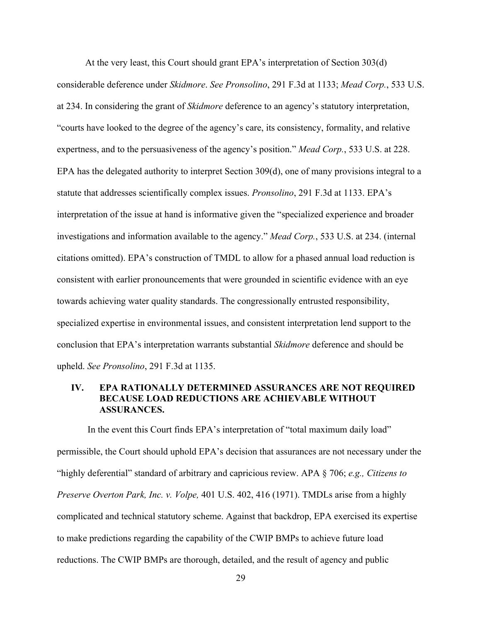At the very least, this Court should grant EPA's interpretation of Section 303(d) considerable deference under *Skidmore*. *See Pronsolino*, 291 F.3d at 1133; *Mead Corp.*, 533 U.S. at 234. In considering the grant of *Skidmore* deference to an agency's statutory interpretation, "courts have looked to the degree of the agency's care, its consistency, formality, and relative expertness, and to the persuasiveness of the agency's position." *Mead Corp.*, 533 U.S. at 228. EPA has the delegated authority to interpret Section 309(d), one of many provisions integral to a statute that addresses scientifically complex issues. *Pronsolino*, 291 F.3d at 1133. EPA's interpretation of the issue at hand is informative given the "specialized experience and broader investigations and information available to the agency." *Mead Corp.*, 533 U.S. at 234. (internal citations omitted). EPA's construction of TMDL to allow for a phased annual load reduction is consistent with earlier pronouncements that were grounded in scientific evidence with an eye towards achieving water quality standards. The congressionally entrusted responsibility, specialized expertise in environmental issues, and consistent interpretation lend support to the conclusion that EPA's interpretation warrants substantial *Skidmore* deference and should be upheld. *See Pronsolino*, 291 F.3d at 1135.

#### **IV. EPA RATIONALLY DETERMINED ASSURANCES ARE NOT REQUIRED BECAUSE LOAD REDUCTIONS ARE ACHIEVABLE WITHOUT ASSURANCES.**

In the event this Court finds EPA's interpretation of "total maximum daily load" permissible, the Court should uphold EPA's decision that assurances are not necessary under the "highly deferential" standard of arbitrary and capricious review. APA § 706; *e.g., Citizens to Preserve Overton Park, Inc. v. Volpe,* 401 U.S. 402, 416 (1971). TMDLs arise from a highly complicated and technical statutory scheme. Against that backdrop, EPA exercised its expertise to make predictions regarding the capability of the CWIP BMPs to achieve future load reductions. The CWIP BMPs are thorough, detailed, and the result of agency and public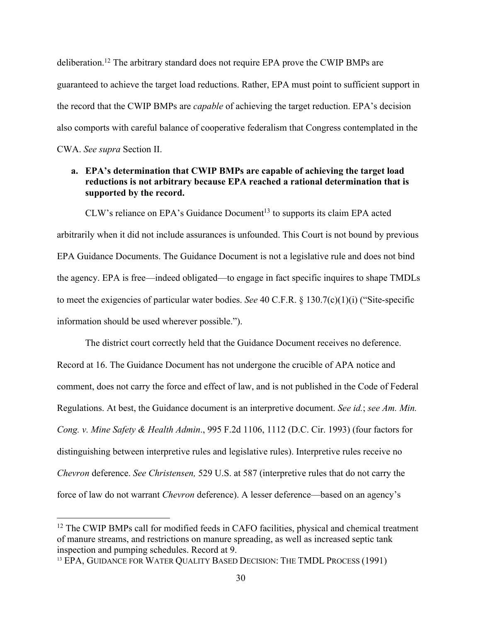deliberation.12 The arbitrary standard does not require EPA prove the CWIP BMPs are guaranteed to achieve the target load reductions. Rather, EPA must point to sufficient support in the record that the CWIP BMPs are *capable* of achieving the target reduction. EPA's decision also comports with careful balance of cooperative federalism that Congress contemplated in the CWA. *See supra* Section II.

### **a. EPA's determination that CWIP BMPs are capable of achieving the target load reductions is not arbitrary because EPA reached a rational determination that is supported by the record.**

 $CLW$ 's reliance on EPA's Guidance Document<sup>13</sup> to supports its claim EPA acted arbitrarily when it did not include assurances is unfounded. This Court is not bound by previous EPA Guidance Documents. The Guidance Document is not a legislative rule and does not bind the agency. EPA is free—indeed obligated—to engage in fact specific inquires to shape TMDLs to meet the exigencies of particular water bodies. *See* 40 C.F.R. § 130.7(c)(1)(i) ("Site-specific information should be used wherever possible.").

The district court correctly held that the Guidance Document receives no deference. Record at 16. The Guidance Document has not undergone the crucible of APA notice and comment, does not carry the force and effect of law, and is not published in the Code of Federal Regulations. At best, the Guidance document is an interpretive document. *See id.*; *see Am. Min. Cong. v. Mine Safety & Health Admin*., 995 F.2d 1106, 1112 (D.C. Cir. 1993) (four factors for distinguishing between interpretive rules and legislative rules). Interpretive rules receive no *Chevron* deference. *See Christensen,* 529 U.S. at 587 (interpretive rules that do not carry the force of law do not warrant *Chevron* deference). A lesser deference—based on an agency's

<sup>&</sup>lt;sup>12</sup> The CWIP BMPs call for modified feeds in CAFO facilities, physical and chemical treatment of manure streams, and restrictions on manure spreading, as well as increased septic tank inspection and pumping schedules. Record at 9.

<sup>&</sup>lt;sup>13</sup> EPA, GUIDANCE FOR WATER QUALITY BASED DECISION: THE TMDL PROCESS (1991)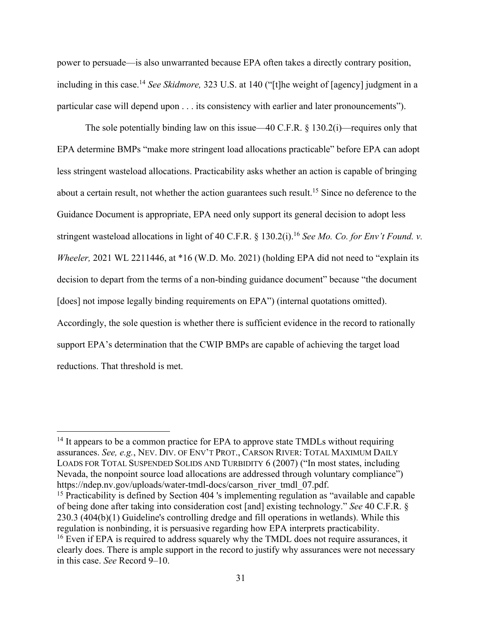power to persuade—is also unwarranted because EPA often takes a directly contrary position, including in this case.14 *See Skidmore,* 323 U.S. at 140 ("[t]he weight of [agency] judgment in a particular case will depend upon . . . its consistency with earlier and later pronouncements").

The sole potentially binding law on this issue—40 C.F.R. § 130.2(i)—requires only that EPA determine BMPs "make more stringent load allocations practicable" before EPA can adopt less stringent wasteload allocations. Practicability asks whether an action is capable of bringing about a certain result, not whether the action guarantees such result.<sup>15</sup> Since no deference to the Guidance Document is appropriate, EPA need only support its general decision to adopt less stringent wasteload allocations in light of 40 C.F.R. § 130.2(i).16 *See Mo. Co. for Env't Found. v. Wheeler,* 2021 WL 2211446, at \*16 (W.D. Mo. 2021) (holding EPA did not need to "explain its decision to depart from the terms of a non-binding guidance document" because "the document [does] not impose legally binding requirements on EPA") (internal quotations omitted). Accordingly, the sole question is whether there is sufficient evidence in the record to rationally support EPA's determination that the CWIP BMPs are capable of achieving the target load reductions. That threshold is met.

<sup>&</sup>lt;sup>14</sup> It appears to be a common practice for EPA to approve state TMDLs without requiring assurances. *See, e.g.*, NEV. DIV. OF ENV'T PROT., CARSON RIVER: TOTAL MAXIMUM DAILY LOADS FOR TOTAL SUSPENDED SOLIDS AND TURBIDITY 6 (2007) ("In most states, including Nevada, the nonpoint source load allocations are addressed through voluntary compliance") https://ndep.nv.gov/uploads/water-tmdl-docs/carson\_river\_tmdl\_07.pdf.

<sup>&</sup>lt;sup>15</sup> Practicability is defined by Section 404 's implementing regulation as "available and capable" of being done after taking into consideration cost [and] existing technology." *See* 40 C.F.R. § 230.3 (404(b)(1) Guideline's controlling dredge and fill operations in wetlands). While this regulation is nonbinding, it is persuasive regarding how EPA interprets practicability.  $16$  Even if EPA is required to address squarely why the TMDL does not require assurances, it clearly does. There is ample support in the record to justify why assurances were not necessary in this case. *See* Record 9–10.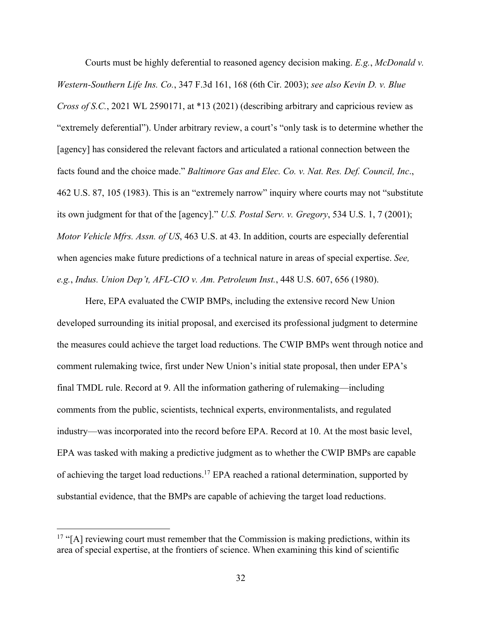Courts must be highly deferential to reasoned agency decision making. *E.g.*, *McDonald v. Western-Southern Life Ins. Co.*, 347 F.3d 161, 168 (6th Cir. 2003); *see also Kevin D. v. Blue Cross of S.C.*, 2021 WL 2590171, at \*13 (2021) (describing arbitrary and capricious review as "extremely deferential"). Under arbitrary review, a court's "only task is to determine whether the [agency] has considered the relevant factors and articulated a rational connection between the facts found and the choice made." *Baltimore Gas and Elec. Co. v. Nat. Res. Def. Council, Inc*., 462 U.S. 87, 105 (1983). This is an "extremely narrow" inquiry where courts may not "substitute its own judgment for that of the [agency]." *U.S. Postal Serv. v. Gregory*, 534 U.S. 1, 7 (2001); *Motor Vehicle Mfrs. Assn. of US*, 463 U.S. at 43. In addition, courts are especially deferential when agencies make future predictions of a technical nature in areas of special expertise. *See, e.g.*, *Indus. Union Dep't, AFL-CIO v. Am. Petroleum Inst.*, 448 U.S. 607, 656 (1980).

Here, EPA evaluated the CWIP BMPs, including the extensive record New Union developed surrounding its initial proposal, and exercised its professional judgment to determine the measures could achieve the target load reductions. The CWIP BMPs went through notice and comment rulemaking twice, first under New Union's initial state proposal, then under EPA's final TMDL rule. Record at 9. All the information gathering of rulemaking—including comments from the public, scientists, technical experts, environmentalists, and regulated industry—was incorporated into the record before EPA. Record at 10. At the most basic level, EPA was tasked with making a predictive judgment as to whether the CWIP BMPs are capable of achieving the target load reductions.<sup>17</sup> EPA reached a rational determination, supported by substantial evidence, that the BMPs are capable of achieving the target load reductions.

 $17$  "[A] reviewing court must remember that the Commission is making predictions, within its area of special expertise, at the frontiers of science. When examining this kind of scientific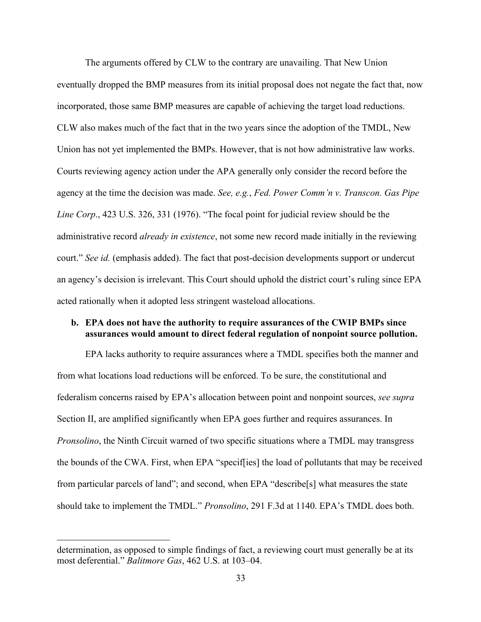The arguments offered by CLW to the contrary are unavailing. That New Union eventually dropped the BMP measures from its initial proposal does not negate the fact that, now incorporated, those same BMP measures are capable of achieving the target load reductions. CLW also makes much of the fact that in the two years since the adoption of the TMDL, New Union has not yet implemented the BMPs. However, that is not how administrative law works. Courts reviewing agency action under the APA generally only consider the record before the agency at the time the decision was made. *See, e.g.*, *Fed. Power Comm'n v. Transcon. Gas Pipe Line Corp*., 423 U.S. 326, 331 (1976). "The focal point for judicial review should be the administrative record *already in existence*, not some new record made initially in the reviewing court." *See id.* (emphasis added). The fact that post-decision developments support or undercut an agency's decision is irrelevant. This Court should uphold the district court's ruling since EPA acted rationally when it adopted less stringent wasteload allocations.

#### **b. EPA does not have the authority to require assurances of the CWIP BMPs since assurances would amount to direct federal regulation of nonpoint source pollution.**

EPA lacks authority to require assurances where a TMDL specifies both the manner and from what locations load reductions will be enforced. To be sure, the constitutional and federalism concerns raised by EPA's allocation between point and nonpoint sources, *see supra*  Section II, are amplified significantly when EPA goes further and requires assurances. In *Pronsolino*, the Ninth Circuit warned of two specific situations where a TMDL may transgress the bounds of the CWA. First, when EPA "specif[ies] the load of pollutants that may be received from particular parcels of land"; and second, when EPA "describe[s] what measures the state should take to implement the TMDL." *Pronsolino*, 291 F.3d at 1140. EPA's TMDL does both.

determination, as opposed to simple findings of fact, a reviewing court must generally be at its most deferential." *Balitmore Gas*, 462 U.S. at 103–04.